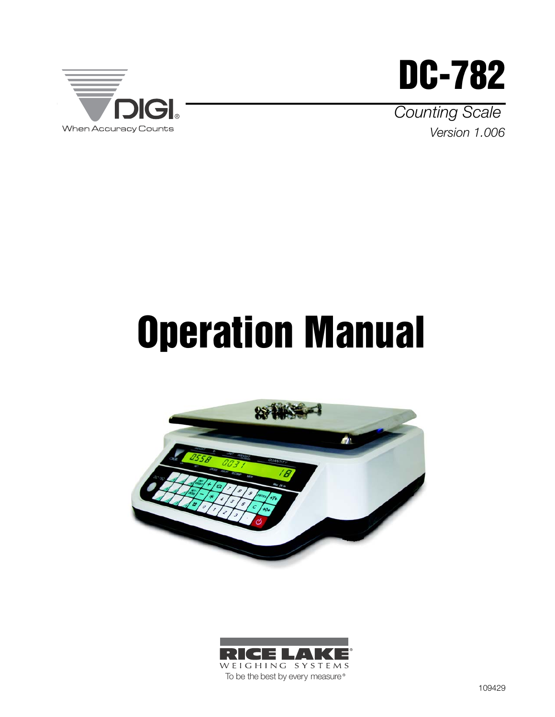



Version 1.006 Counting Scale

# Operation Manual



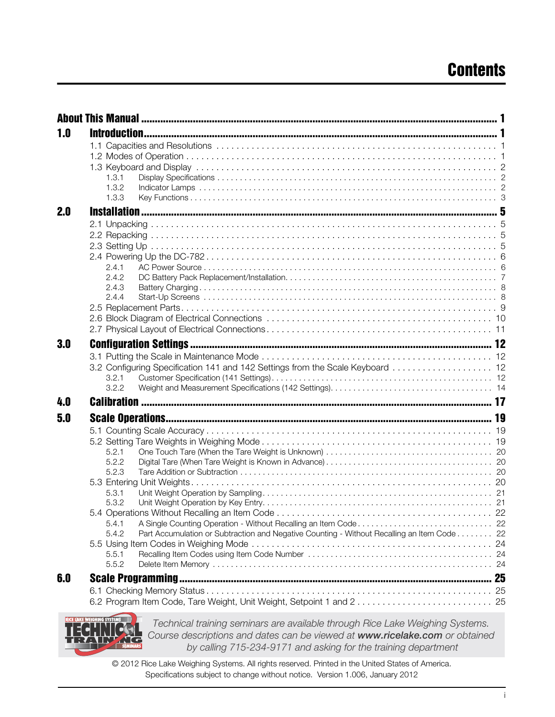| 1.0 |                                                                                                     |  |
|-----|-----------------------------------------------------------------------------------------------------|--|
|     |                                                                                                     |  |
|     |                                                                                                     |  |
|     |                                                                                                     |  |
|     | 1.3.1                                                                                               |  |
|     | 1.3.2                                                                                               |  |
|     | 1.3.3                                                                                               |  |
| 2.0 |                                                                                                     |  |
|     |                                                                                                     |  |
|     |                                                                                                     |  |
|     |                                                                                                     |  |
|     |                                                                                                     |  |
|     | 2.4.1<br>2.4.2                                                                                      |  |
|     | 2.4.3                                                                                               |  |
|     | 2.4.4                                                                                               |  |
|     |                                                                                                     |  |
|     |                                                                                                     |  |
|     |                                                                                                     |  |
| 3.0 |                                                                                                     |  |
|     |                                                                                                     |  |
|     | 3.2 Configuring Specification 141 and 142 Settings from the Scale Keyboard  12                      |  |
|     | 3.2.1                                                                                               |  |
|     | 3.2.2                                                                                               |  |
| 4.0 |                                                                                                     |  |
| 5.0 |                                                                                                     |  |
|     |                                                                                                     |  |
|     |                                                                                                     |  |
|     |                                                                                                     |  |
|     | 5.2.1<br>5.2.2                                                                                      |  |
|     | 5.2.3                                                                                               |  |
|     |                                                                                                     |  |
|     | 5.3.1                                                                                               |  |
|     | 5.3.2                                                                                               |  |
|     | 22                                                                                                  |  |
|     | 5.4.1                                                                                               |  |
|     | Part Accumulation or Subtraction and Negative Counting - Without Recalling an Item Code 22<br>5.4.2 |  |
|     |                                                                                                     |  |
|     | 5.5.1<br>5.5.2                                                                                      |  |
|     |                                                                                                     |  |
| 6.0 |                                                                                                     |  |
|     |                                                                                                     |  |
|     |                                                                                                     |  |
|     |                                                                                                     |  |



Technical training seminars are available through Rice Lake Weighing Systems. Course descriptions and dates can be viewed at www.ricelake.com or obtained by calling 715-234-9171 and asking for the training department

© 2012 Rice Lake Weighing Systems. All rights reserved. Printed in the United States of America. Specifications subject to change without notice. Version 1.006, January 2012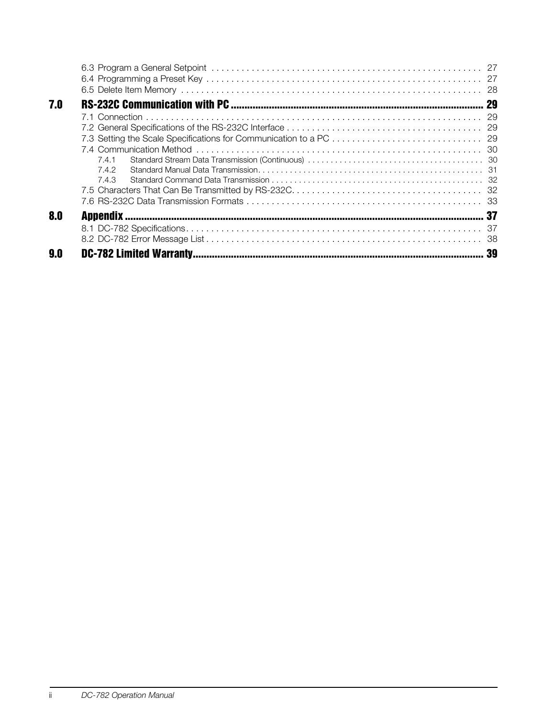| 7.0 |       |    |
|-----|-------|----|
|     |       |    |
|     |       |    |
|     |       |    |
|     |       |    |
|     | 7.4.1 |    |
|     | 7.4.2 |    |
|     | 7.4.3 |    |
|     |       |    |
|     |       |    |
| 8.0 |       |    |
|     |       |    |
|     |       |    |
| 9.0 |       | 39 |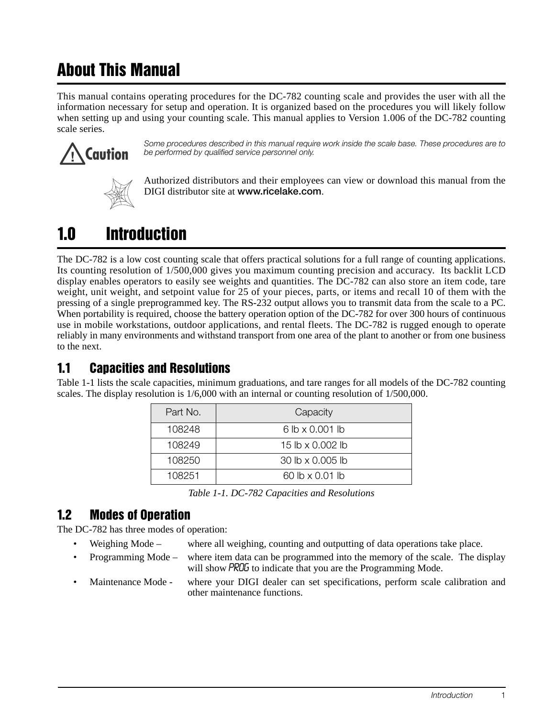# <span id="page-4-0"></span>About This Manual

This manual contains operating procedures for the DC-782 counting scale and provides the user with all the information necessary for setup and operation. It is organized based on the procedures you will likely follow when setting up and using your counting scale. This manual applies to Version 1.006 of the DC-782 counting scale series.



Some procedures described in this manual require work inside the scale base. These procedures are to be performed by qualified service personnel only.



Authorized distributors and their employees can view or download this manual from the DIGI distributor site at www.ricelake.com.

# <span id="page-4-1"></span>1.0 Introduction

The DC-782 is a low cost counting scale that offers practical solutions for a full range of counting applications. Its counting resolution of 1/500,000 gives you maximum counting precision and accuracy. Its backlit LCD display enables operators to easily see weights and quantities. The DC-782 can also store an item code, tare weight, unit weight, and setpoint value for 25 of your pieces, parts, or items and recall 10 of them with the pressing of a single preprogrammed key. The RS-232 output allows you to transmit data from the scale to a PC. When portability is required, choose the battery operation option of the DC-782 for over 300 hours of continuous use in mobile workstations, outdoor applications, and rental fleets. The DC-782 is rugged enough to operate reliably in many environments and withstand transport from one area of the plant to another or from one business to the next.

# <span id="page-4-2"></span>1.1 Capacities and Resolutions

[Table](#page-4-4) 1-1 lists the scale capacities, minimum graduations, and tare ranges for all models of the DC-782 counting scales. The display resolution is 1/6,000 with an internal or counting resolution of 1/500,000.

| Part No. | Capacity               |
|----------|------------------------|
| 108248   | $6 lb \times 0.001 lb$ |
| 108249   | 15 lb x 0.002 lb       |
| 108250   | 30 lb x 0.005 lb       |
| 108251   | 60 lb x 0.01 lb        |

*Table 1-1. DC-782 Capacities and Resolutions*

## <span id="page-4-4"></span><span id="page-4-3"></span>1.2 Modes of Operation

The DC-782 has three modes of operation:

- Weighing Mode where all weighing, counting and outputting of data operations take place.
- Programming Mode where item data can be programmed into the memory of the scale. The display will show **PROG** to indicate that you are the Programming Mode.
- Maintenance Mode where your DIGI dealer can set specifications, perform scale calibration and other maintenance functions.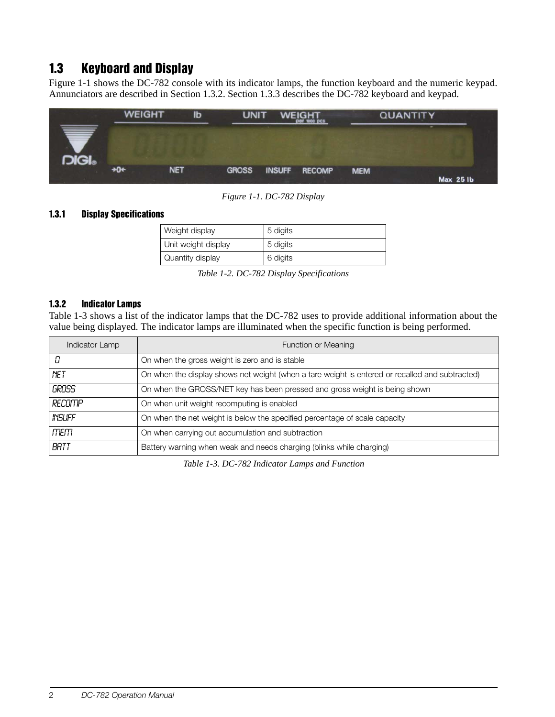# <span id="page-5-0"></span>1.3 Keyboard and Display

[Figure](#page-5-3) 1-1 shows the DC-782 console with its indicator lamps, the function keyboard and the numeric keypad. Annunciators are described in [Section](#page-5-2) 1.3.2. [Section](#page-6-0) 1.3.3 describes the DC-782 keyboard and keypad.



*Figure 1-1. DC-782 Display* 

#### <span id="page-5-3"></span><span id="page-5-1"></span>1.3.1 Display Specifications

| Weight display      | 5 digits |
|---------------------|----------|
| Unit weight display | 5 digits |
| Quantity display    | 6 digits |

*Table 1-2. DC-782 Display Specifications*

#### <span id="page-5-2"></span>1.3.2 Indicator Lamps

[Table](#page-5-4) 1-3 shows a list of the indicator lamps that the DC-782 uses to provide additional information about the value being displayed. The indicator lamps are illuminated when the specific function is being performed.

<span id="page-5-4"></span>

| Function or Meaning<br>Indicator Lamp |                                                                                                 |
|---------------------------------------|-------------------------------------------------------------------------------------------------|
| П                                     | On when the gross weight is zero and is stable                                                  |
| <b>NET</b>                            | On when the display shows net weight (when a tare weight is entered or recalled and subtracted) |
| GROSS                                 | On when the GROSS/NET key has been pressed and gross weight is being shown                      |
| RECOMP                                | On when unit weight recomputing is enabled                                                      |
| <b>INSUFF</b>                         | On when the net weight is below the specified percentage of scale capacity                      |
| mem                                   | On when carrying out accumulation and subtraction                                               |
| BATT                                  | Battery warning when weak and needs charging (blinks while charging)                            |

*Table 1-3. DC-782 Indicator Lamps and Function*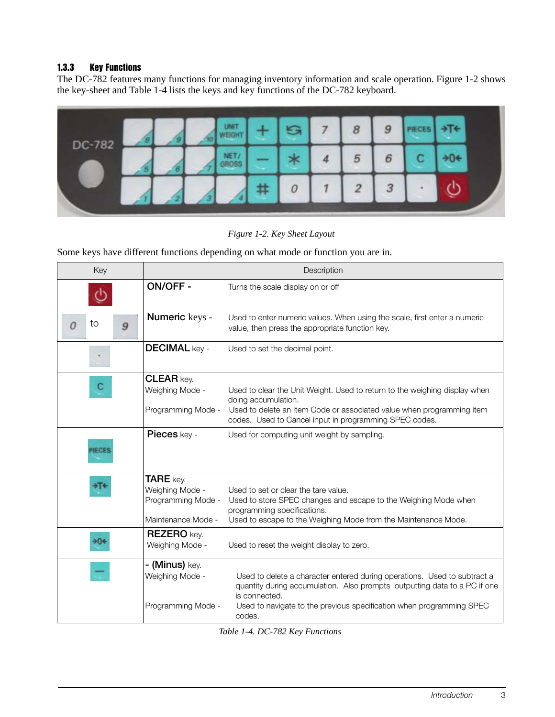#### <span id="page-6-0"></span>1.3.3 Key Functions

The DC-782 features many functions for managing inventory information and scale operation. [Figure](#page-6-1) 1-2 shows the key-sheet and [Table](#page-6-2) 1-4 lists the keys and key functions of the DC-782 keyboard.



#### *Figure 1-2. Key Sheet Layout*

<span id="page-6-1"></span>Some keys have different functions depending on what mode or function you are in.

| Key     | Description                                                                     |                                                                                                                                                                                                                                                          |  |  |
|---------|---------------------------------------------------------------------------------|----------------------------------------------------------------------------------------------------------------------------------------------------------------------------------------------------------------------------------------------------------|--|--|
|         | <b>ON/OFF-</b>                                                                  | Turns the scale display on or off                                                                                                                                                                                                                        |  |  |
| to<br>9 | Numeric keys -                                                                  | Used to enter numeric values. When using the scale, first enter a numeric<br>value, then press the appropriate function key.                                                                                                                             |  |  |
|         | <b>DECIMAL key -</b>                                                            | Used to set the decimal point.                                                                                                                                                                                                                           |  |  |
|         | <b>CLEAR key.</b><br>Weighing Mode -<br>Programming Mode -                      | Used to clear the Unit Weight. Used to return to the weighing display when<br>doing accumulation.<br>Used to delete an Item Code or associated value when programming item<br>codes. Used to Cancel input in programming SPEC codes.                     |  |  |
|         | Pieces key -                                                                    | Used for computing unit weight by sampling.                                                                                                                                                                                                              |  |  |
|         | <b>TARE</b> key.<br>Weighing Mode -<br>Programming Mode -<br>Maintenance Mode - | Used to set or clear the tare value.<br>Used to store SPEC changes and escape to the Weighing Mode when<br>programming specifications.<br>Used to escape to the Weighing Mode from the Maintenance Mode.                                                 |  |  |
| 90€     | <b>REZERO</b> key.<br>Weighing Mode -                                           | Used to reset the weight display to zero.                                                                                                                                                                                                                |  |  |
|         | - (Minus) key.<br>Weighing Mode -<br>Programming Mode -                         | Used to delete a character entered during operations. Used to subtract a<br>quantity during accumulation. Also prompts outputting data to a PC if one<br>is connected.<br>Used to navigate to the previous specification when programming SPEC<br>codes. |  |  |

<span id="page-6-2"></span>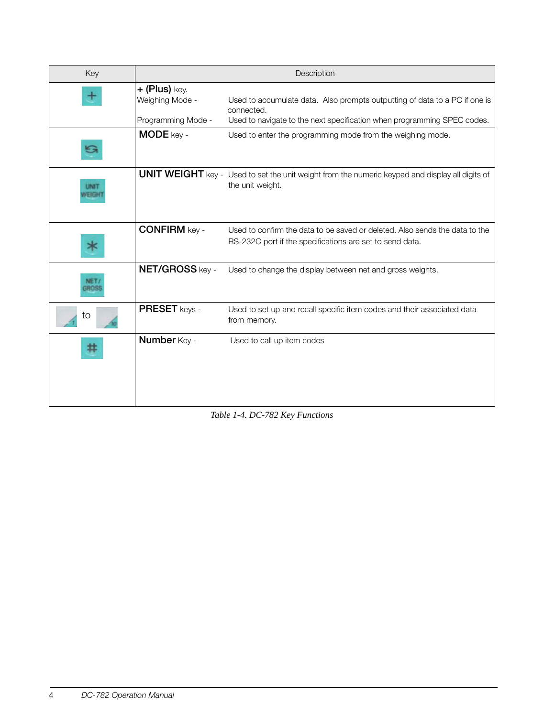| Key | Description                        |                                                                                                                                         |  |  |
|-----|------------------------------------|-----------------------------------------------------------------------------------------------------------------------------------------|--|--|
|     | $+$ (Plus) key.<br>Weighing Mode - | Used to accumulate data. Also prompts outputting of data to a PC if one is<br>connected.                                                |  |  |
|     | Programming Mode -                 | Used to navigate to the next specification when programming SPEC codes.                                                                 |  |  |
|     | <b>MODE</b> key -                  | Used to enter the programming mode from the weighing mode.                                                                              |  |  |
|     |                                    | <b>UNIT WEIGHT</b> key - Used to set the unit weight from the numeric keypad and display all digits of<br>the unit weight.              |  |  |
|     | <b>CONFIRM key -</b>               | Used to confirm the data to be saved or deleted. Also sends the data to the<br>RS-232C port if the specifications are set to send data. |  |  |
|     | NET/GROSS key -                    | Used to change the display between net and gross weights.                                                                               |  |  |
| to  | <b>PRESET</b> keys -               | Used to set up and recall specific item codes and their associated data<br>from memory.                                                 |  |  |
|     | Number Key -                       | Used to call up item codes                                                                                                              |  |  |

*Table 1-4. DC-782 Key Functions*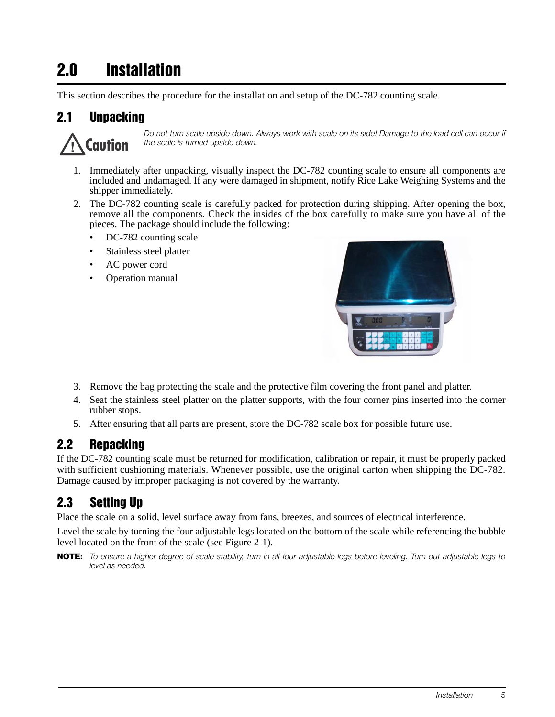# 2.0 Installation

This section describes the procedure for the installation and setup of the DC-782 counting scale.

# 2.1 Unpacking



Do not turn scale upside down. Always work with scale on its side! Damage to the load cell can occur if the scale is turned upside down.

- 1. Immediately after unpacking, visually inspect the DC-782 counting scale to ensure all components are included and undamaged. If any were damaged in shipment, notify Rice Lake Weighing Systems and the shipper immediately.
- 2. The DC-782 counting scale is carefully packed for protection during shipping. After opening the box, remove all the components. Check the insides of the box carefully to make sure you have all of the pieces. The package should include the following:
	- DC-782 counting scale
	- Stainless steel platter
	- AC power cord
	- Operation manual



- 3. Remove the bag protecting the scale and the protective film covering the front panel and platter.
- 4. Seat the stainless steel platter on the platter supports, with the four corner pins inserted into the corner rubber stops.
- 5. After ensuring that all parts are present, store the DC-782 scale box for possible future use.

## 2.2 Repacking

If the DC-782 counting scale must be returned for modification, calibration or repair, it must be properly packed with sufficient cushioning materials. Whenever possible, use the original carton when shipping the DC-782. Damage caused by improper packaging is not covered by the warranty.

# 2.3 Setting Up

Place the scale on a solid, level surface away from fans, breezes, and sources of electrical interference.

Level the scale by turning the four adjustable legs located on the bottom of the scale while referencing the bubble level located on the front of the scale (see [Figure](#page-9-0) 2-1).

NOTE: To ensure a higher degree of scale stability, turn in all four adjustable legs before leveling. Turn out adjustable legs to level as needed.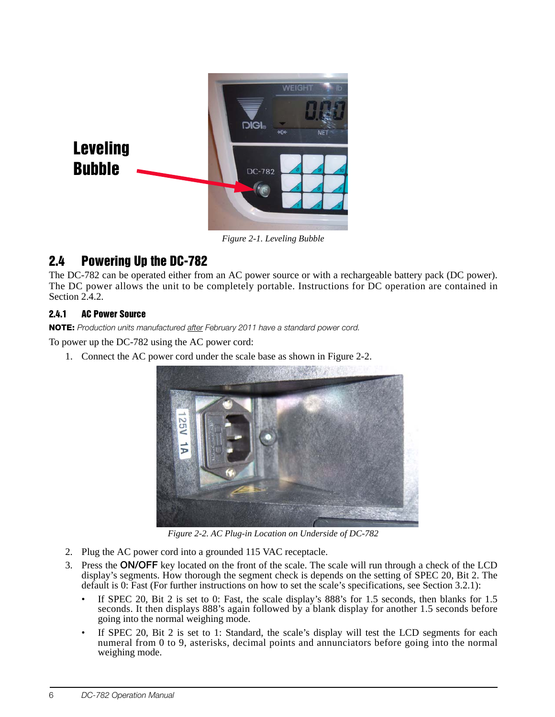

*Figure 2-1. Leveling Bubble*

# <span id="page-9-0"></span>2.4 Powering Up the DC-782

The DC-782 can be operated either from an AC power source or with a rechargeable battery pack (DC power). The DC power allows the unit to be completely portable. Instructions for DC operation are contained in [Section](#page-10-0) 2.4.2.

#### 2.4.1 AC Power Source

NOTE: Production units manufactured after February 2011 have a standard power cord.

To power up the DC-782 using the AC power cord:

1. Connect the AC power cord under the scale base as shown in [Figure](#page-9-1) 2-2.



*Figure 2-2. AC Plug-in Location on Underside of DC-782*

- <span id="page-9-1"></span>2. Plug the AC power cord into a grounded 115 VAC receptacle.
- 3. Press the ON/OFF key located on the front of the scale. The scale will run through a check of the LCD display's segments. How thorough the segment check is depends on the setting of SPEC 20, Bit 2. The default is 0: Fast (For further instructions on how to set the scale's specifications, see [Section](#page-15-4) 3.2.1):
	- If SPEC 20, Bit 2 is set to 0: Fast, the scale display's 888's for 1.5 seconds, then blanks for 1.5 seconds. It then displays 888's again followed by a blank display for another 1.5 seconds before going into the normal weighing mode.
	- If SPEC 20, Bit 2 is set to 1: Standard, the scale's display will test the LCD segments for each numeral from 0 to 9, asterisks, decimal points and annunciators before going into the normal weighing mode.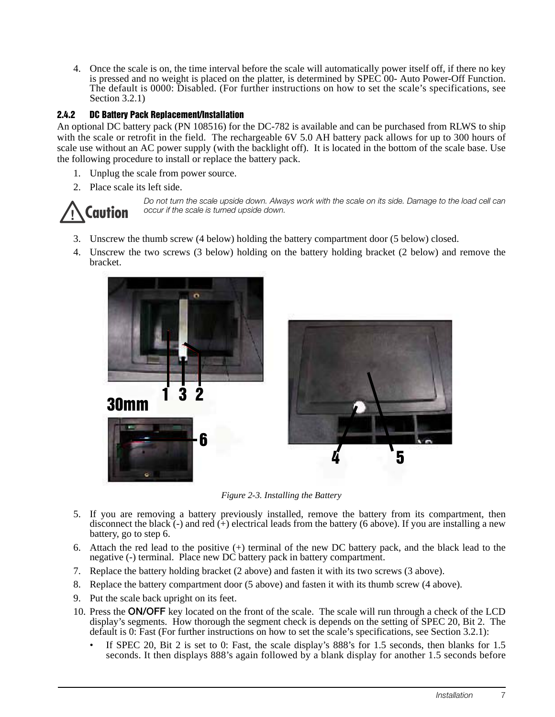4. Once the scale is on, the time interval before the scale will automatically power itself off, if there no key is pressed and no weight is placed on the platter, is determined by SPEC 00- Auto Power-Off Function. The default is 0000: Disabled. (For further instructions on how to set the scale's specifications, see [Section](#page-15-4) 3.2.1)

#### <span id="page-10-0"></span>2.4.2 DC Battery Pack Replacement/Installation

An optional DC battery pack (PN 108516) for the DC-782 is available and can be purchased from RLWS to ship with the scale or retrofit in the field. The rechargeable 6V 5.0 AH battery pack allows for up to 300 hours of scale use without an AC power supply (with the backlight off). It is located in the bottom of the scale base. Use the following procedure to install or replace the battery pack.

- 1. Unplug the scale from power source.
- 2. Place scale its left side.



Do not turn the scale upside down. Always work with the scale on its side. Damage to the load cell can occur if the scale is turned upside down.

- 3. Unscrew the thumb screw (4 below) holding the battery compartment door (5 below) closed.
- 4. Unscrew the two screws (3 below) holding on the battery holding bracket (2 below) and remove the bracket.



*Figure 2-3. Installing the Battery*

- 5. If you are removing a battery previously installed, remove the battery from its compartment, then disconnect the black (-) and red ( $+$ ) electrical leads from the battery (6 above). If you are installing a new battery, go to step 6.
- 6. Attach the red lead to the positive (+) terminal of the new DC battery pack, and the black lead to the negative (-) terminal. Place new DC battery pack in battery compartment.
- 7. Replace the battery holding bracket (2 above) and fasten it with its two screws (3 above).
- 8. Replace the battery compartment door (5 above) and fasten it with its thumb screw (4 above).
- 9. Put the scale back upright on its feet.
- 10. Press the ON/OFF key located on the front of the scale. The scale will run through a check of the LCD display's segments. How thorough the segment check is depends on the setting of SPEC 20, Bit 2. The default is 0: Fast (For further instructions on how to set the scale's specifications, see [Section](#page-15-4) 3.2.1):
	- If SPEC 20, Bit 2 is set to 0: Fast, the scale display's 888's for 1.5 seconds, then blanks for 1.5 seconds. It then displays 888's again followed by a blank display for another 1.5 seconds before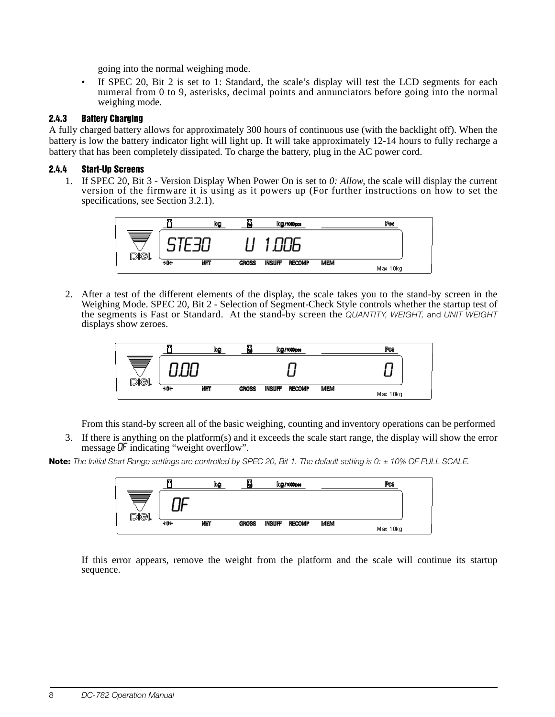going into the normal weighing mode.

• If SPEC 20, Bit 2 is set to 1: Standard, the scale's display will test the LCD segments for each numeral from 0 to 9, asterisks, decimal points and annunciators before going into the normal weighing mode.

#### 2.4.3 Battery Charging

A fully charged battery allows for approximately 300 hours of continuous use (with the backlight off). When the battery is low the battery indicator light will light up. It will take approximately 12-14 hours to fully recharge a battery that has been completely dissipated. To charge the battery, plug in the AC power cord.

#### 2.4.4 Start-Up Screens

1. If SPEC 20, Bit 3 - Version Display When Power On is set to *0: Allow*, the scale will display the current version of the firmware it is using as it powers up (For further instructions on how to set the specifications, see [Section](#page-15-4) 3.2.1).



2. After a test of the different elements of the display, the scale takes you to the stand-by screen in the Weighing Mode. SPEC 20, Bit 2 - Selection of Segment-Check Style controls whether the startup test of the segments is Fast or Standard. At the stand-by screen the QUANTITY, WEIGHT, and UNIT WEIGHT displays show zeroes.



From this stand-by screen all of the basic weighing, counting and inventory operations can be performed

3. If there is anything on the platform(s) and it exceeds the scale start range, the display will show the error message OF indicating "weight overflow".

Note: The Initial Start Range settings are controlled by SPEC 20, Bit 1. The default setting is 0:  $\pm$  10% OF FULL SCALE.



If this error appears, remove the weight from the platform and the scale will continue its startup sequence.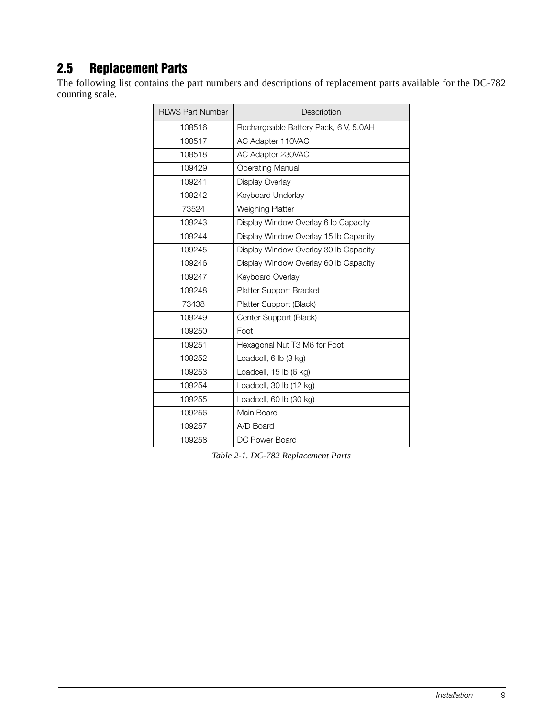# 2.5 Replacement Parts

The following list contains the part numbers and descriptions of replacement parts available for the DC-782 counting scale.

| <b>RLWS Part Number</b> | Description                           |
|-------------------------|---------------------------------------|
| 108516                  | Rechargeable Battery Pack, 6 V, 5.0AH |
| 108517                  | AC Adapter 110VAC                     |
| 108518                  | AC Adapter 230VAC                     |
| 109429                  | <b>Operating Manual</b>               |
| 109241                  | Display Overlay                       |
| 109242                  | Keyboard Underlay                     |
| 73524                   | Weighing Platter                      |
| 109243                  | Display Window Overlay 6 lb Capacity  |
| 109244                  | Display Window Overlay 15 lb Capacity |
| 109245                  | Display Window Overlay 30 lb Capacity |
| 109246                  | Display Window Overlay 60 lb Capacity |
| 109247                  | Keyboard Overlay                      |
| 109248                  | <b>Platter Support Bracket</b>        |
| 73438                   | Platter Support (Black)               |
| 109249                  | Center Support (Black)                |
| 109250                  | Foot                                  |
| 109251                  | Hexagonal Nut T3 M6 for Foot          |
| 109252                  | Loadcell, 6 lb (3 kg)                 |
| 109253                  | Loadcell, 15 lb (6 kg)                |
| 109254                  | Loadcell, 30 lb (12 kg)               |
| 109255                  | Loadcell, 60 lb (30 kg)               |
| 109256                  | Main Board                            |
| 109257                  | A/D Board                             |
| 109258                  | DC Power Board                        |

*Table 2-1. DC-782 Replacement Parts*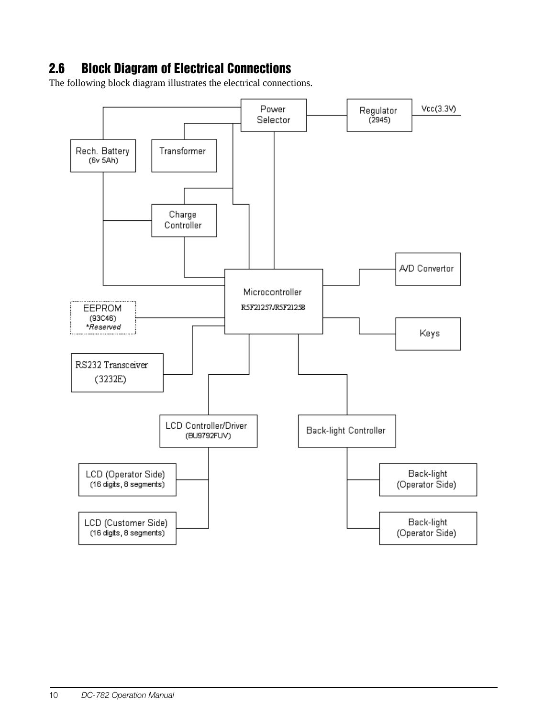# 2.6 Block Diagram of Electrical Connections

The following block diagram illustrates the electrical connections.

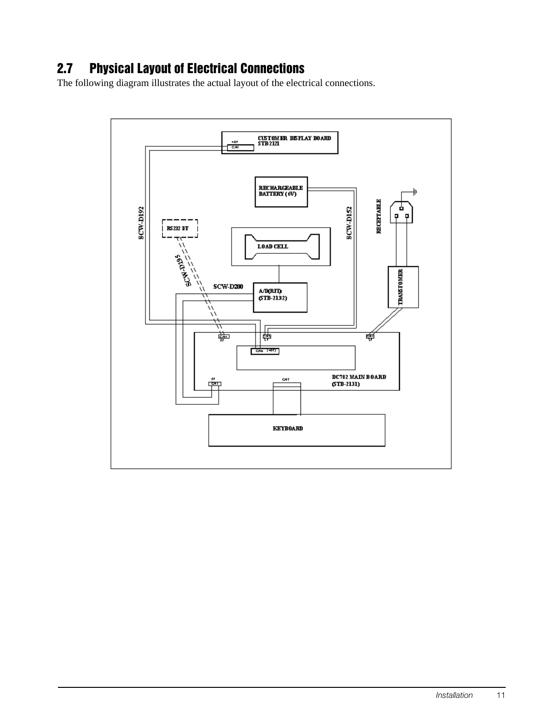# 2.7 Physical Layout of Electrical Connections

The following diagram illustrates the actual layout of the electrical connections.

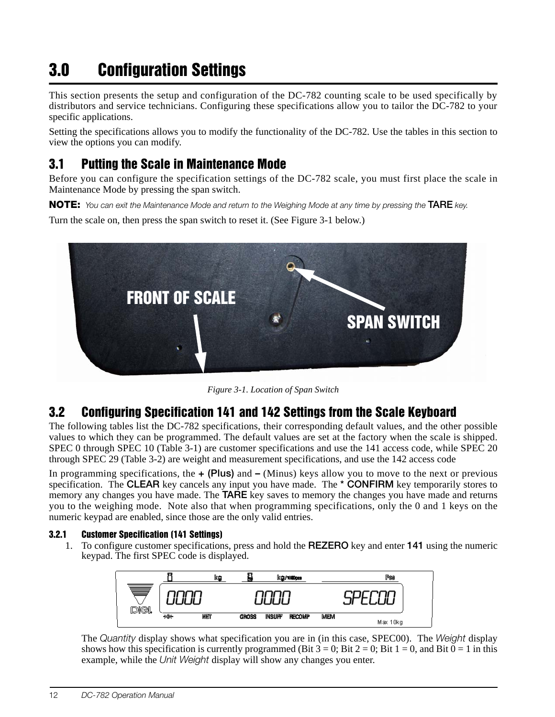# <span id="page-15-0"></span>3.0 Configuration Settings

This section presents the setup and configuration of the DC-782 counting scale to be used specifically by distributors and service technicians. Configuring these specifications allow you to tailor the DC-782 to your specific applications.

Setting the specifications allows you to modify the functionality of the DC-782. Use the tables in this section to view the options you can modify.

# <span id="page-15-1"></span>3.1 Putting the Scale in Maintenance Mode

Before you can configure the specification settings of the DC-782 scale, you must first place the scale in Maintenance Mode by pressing the span switch.

NOTE: You can exit the Maintenance Mode and return to the Weighing Mode at any time by pressing the TARE key.

Turn the scale on, then press the span switch to reset it. (See [Figure](#page-15-5) 3-1 below.)



*Figure 3-1. Location of Span Switch*

# <span id="page-15-5"></span><span id="page-15-2"></span>3.2 Configuring Specification 141 and 142 Settings from the Scale Keyboard

The following tables list the DC-782 specifications, their corresponding default values, and the other possible values to which they can be programmed. The default values are set at the factory when the scale is shipped. SPEC 0 through SPEC 10 ([Table](#page-16-0) 3-1) are customer specifications and use the 141 access code, while SPEC 20 through SPEC 29 [\(Table](#page-18-0) 3-2) are weight and measurement specifications, and use the 142 access code

In programming specifications, the  $+$  (Plus) and  $-$  (Minus) keys allow you to move to the next or previous specification. The CLEAR key cancels any input you have made. The \* CONFIRM key temporarily stores to memory any changes you have made. The **TARE** key saves to memory the changes you have made and returns you to the weighing mode. Note also that when programming specifications, only the 0 and 1 keys on the numeric keypad are enabled, since those are the only valid entries.

#### <span id="page-15-3"></span>3.2.1 Customer Specification (141 Settings)

<span id="page-15-4"></span>1. To configure customer specifications, press and hold the REZERO key and enter 141 using the numeric keypad. The first SPEC code is displayed.



The Quantity display shows what specification you are in (in this case, SPEC00). The Weight display shows how this specification is currently programmed (Bit  $3 = 0$ ; Bit  $2 = 0$ ; Bit  $1 = 0$ , and Bit  $0 = 1$  in this example, while the Unit Weight display will show any changes you enter.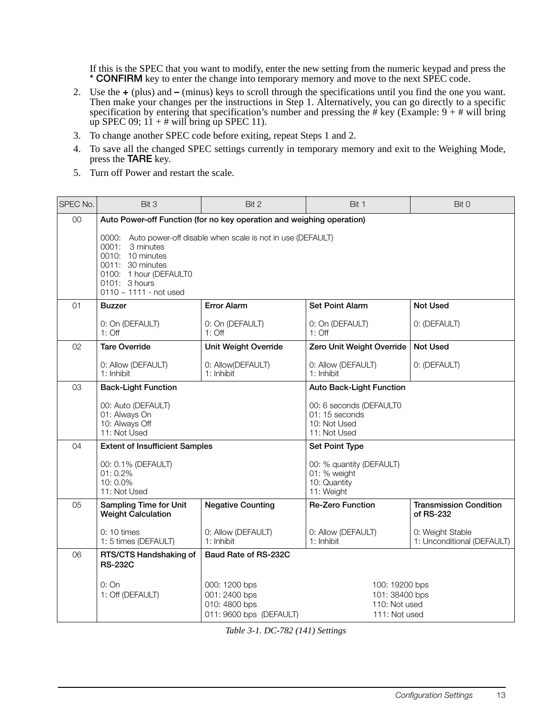If this is the SPEC that you want to modify, enter the new setting from the numeric keypad and press the \* CONFIRM key to enter the change into temporary memory and move to the next SPEC code.

- 2. Use the + (plus) and (minus) keys to scroll through the specifications until you find the one you want. Then make your changes per the instructions in Step 1. Alternatively, you can go directly to a specific specification by entering that specification's number and pressing the # key (Example: 9 + # will bring up SPEC 09;  $11 + #$  will bring up SPEC 11).
- 3. To change another SPEC code before exiting, repeat Steps 1 and 2.
- 4. To save all the changed SPEC settings currently in temporary memory and exit to the Weighing Mode, press the TARE key.
- 5. Turn off Power and restart the scale.

| SPEC No. | Bit 3                                                                                                                                                                                                   | Bit 2                                                                      | Bit 1                                                                     | Bit 0                                          |  |
|----------|---------------------------------------------------------------------------------------------------------------------------------------------------------------------------------------------------------|----------------------------------------------------------------------------|---------------------------------------------------------------------------|------------------------------------------------|--|
| $00\,$   | Auto Power-off Function (for no key operation and weighing operation)                                                                                                                                   |                                                                            |                                                                           |                                                |  |
|          | 0000: Auto power-off disable when scale is not in use (DEFAULT)<br>0001:<br>3 minutes<br>0010: 10 minutes<br>0011: 30 minutes<br>0100: 1 hour (DEFAULT0<br>0101: 3 hours<br>0110 $\sim$ 1111 - not used |                                                                            |                                                                           |                                                |  |
| 01       | <b>Buzzer</b>                                                                                                                                                                                           | <b>Error Alarm</b>                                                         | <b>Set Point Alarm</b>                                                    | <b>Not Used</b>                                |  |
|          | 0: On (DEFAULT)<br>$1:$ Off                                                                                                                                                                             | 0: On (DEFAULT)<br>$1:$ Off                                                | 0: On (DEFAULT)<br>$1:$ Off                                               | 0: (DEFAULT)                                   |  |
| 02       | Tare Override                                                                                                                                                                                           | <b>Unit Weight Override</b>                                                | Zero Unit Weight Override                                                 | <b>Not Used</b>                                |  |
|          | 0: Allow (DEFAULT)<br>1: Inhibit                                                                                                                                                                        | 0: Allow(DEFAULT)<br>1: Inhibit                                            | 0: Allow (DEFAULT)<br>$1:$ Inhibit                                        | 0: (DEFAULT)                                   |  |
| 03       | <b>Back-Light Function</b>                                                                                                                                                                              |                                                                            | <b>Auto Back-Light Function</b>                                           |                                                |  |
|          | 00: Auto (DEFAULT)<br>01: Always On<br>10: Always Off<br>11: Not Used                                                                                                                                   |                                                                            | 00: 6 seconds (DEFAULT0<br>01: 15 seconds<br>10: Not Used<br>11: Not Used |                                                |  |
| 04       | <b>Extent of Insufficient Samples</b>                                                                                                                                                                   |                                                                            | Set Point Type                                                            |                                                |  |
|          | 00: 0.1% (DEFAULT)<br>01: 0.2%<br>10:0.0%<br>11: Not Used                                                                                                                                               |                                                                            | 00: % quantity (DEFAULT)<br>01: % weight<br>10: Quantity<br>11: Weight    |                                                |  |
| 05       | <b>Sampling Time for Unit</b><br><b>Weight Calculation</b>                                                                                                                                              | <b>Negative Counting</b>                                                   | <b>Re-Zero Function</b>                                                   | <b>Transmission Condition</b><br>of RS-232     |  |
|          | $0:10 \times$<br>1: 5 times (DEFAULT)                                                                                                                                                                   | 0: Allow (DEFAULT)<br>1: Inhibit                                           | 0: Allow (DEFAULT)<br>1: Inhibit                                          | 0: Weight Stable<br>1: Unconditional (DEFAULT) |  |
| 06       | RTS/CTS Handshaking of<br><b>RS-232C</b>                                                                                                                                                                | Baud Rate of RS-232C                                                       |                                                                           |                                                |  |
|          | 0:On<br>1: Off (DEFAULT)                                                                                                                                                                                | 000: 1200 bps<br>001: 2400 bps<br>010: 4800 bps<br>011: 9600 bps (DEFAULT) | 100: 19200 bps<br>101:38400 bps<br>110: Not used<br>111: Not used         |                                                |  |

<span id="page-16-0"></span>*Table 3-1. DC-782 (141) Settings*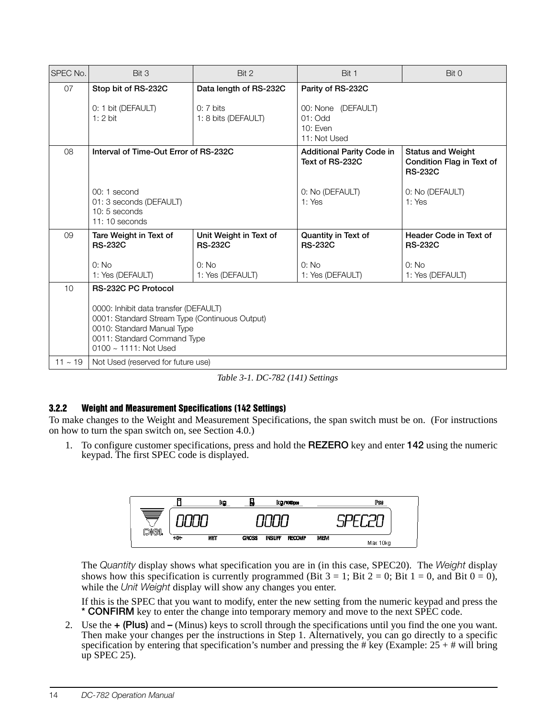| SPEC No.  | Bit 3                                                                                                                                                                               | Bit 2                                    | Bit 1                                                       | Bit 0                                                                   |  |
|-----------|-------------------------------------------------------------------------------------------------------------------------------------------------------------------------------------|------------------------------------------|-------------------------------------------------------------|-------------------------------------------------------------------------|--|
| 07        | Stop bit of RS-232C                                                                                                                                                                 | Data length of RS-232C                   | Parity of RS-232C                                           |                                                                         |  |
|           | 0: 1 bit (DEFAULT)<br>$1:2$ bit                                                                                                                                                     | $0:7$ bits<br>1: 8 bits (DEFAULT)        | 00: None (DEFAULT)<br>$01:$ Odd<br>10: Even<br>11: Not Used |                                                                         |  |
| 08        | Interval of Time-Out Error of RS-232C                                                                                                                                               |                                          | <b>Additional Parity Code in</b><br>Text of RS-232C         | <b>Status and Weight</b><br>Condition Flag in Text of<br><b>RS-232C</b> |  |
|           | $00:1$ second<br>01: 3 seconds (DEFAULT)<br>10: 5 seconds<br>$11:10$ seconds                                                                                                        |                                          | 0: No (DEFAULT)<br>1: Yes                                   | 0: No (DEFAULT)<br>1: Yes                                               |  |
| 09        | Tare Weight in Text of<br><b>RS-232C</b>                                                                                                                                            | Unit Weight in Text of<br><b>RS-232C</b> | Quantity in Text of<br><b>RS-232C</b>                       | Header Code in Text of<br><b>RS-232C</b>                                |  |
|           | 0: No<br>1: Yes (DEFAULT)                                                                                                                                                           | 0: No<br>1: Yes (DEFAULT)                | 0: No<br>1: Yes (DEFAULT)                                   | 0: No<br>1: Yes (DEFAULT)                                               |  |
| 10        | <b>RS-232C PC Protocol</b>                                                                                                                                                          |                                          |                                                             |                                                                         |  |
|           | 0000: Inhibit data transfer (DEFAULT)<br>0001: Standard Stream Type (Continuous Output)<br>0010: Standard Manual Type<br>0011: Standard Command Type<br>$0100 \sim 1111$ : Not Used |                                          |                                                             |                                                                         |  |
| $11 - 19$ | Not Used (reserved for future use)                                                                                                                                                  |                                          |                                                             |                                                                         |  |

*Table 3-1. DC-782 (141) Settings*

#### <span id="page-17-1"></span><span id="page-17-0"></span>3.2.2 Weight and Measurement Specifications (142 Settings)

To make changes to the Weight and Measurement Specifications, the span switch must be on. (For instructions on how to turn the span switch on, see [Section](#page-20-1) 4.0.)

1. To configure customer specifications, press and hold the REZERO key and enter 142 using the numeric keypad. The first SPEC code is displayed.



The Quantity display shows what specification you are in (in this case, SPEC20). The Weight display shows how this specification is currently programmed (Bit  $3 = 1$ ; Bit  $2 = 0$ ; Bit  $1 = 0$ , and Bit  $0 = 0$ ), while the Unit Weight display will show any changes you enter.

If this is the SPEC that you want to modify, enter the new setting from the numeric keypad and press the \* CONFIRM key to enter the change into temporary memory and move to the next SPEC code.

2. Use the + (Plus) and – (Minus) keys to scroll through the specifications until you find the one you want. Then make your changes per the instructions in Step 1. Alternatively, you can go directly to a specific specification by entering that specification's number and pressing the # key (Example:  $25 +$  # will bring up SPEC 25).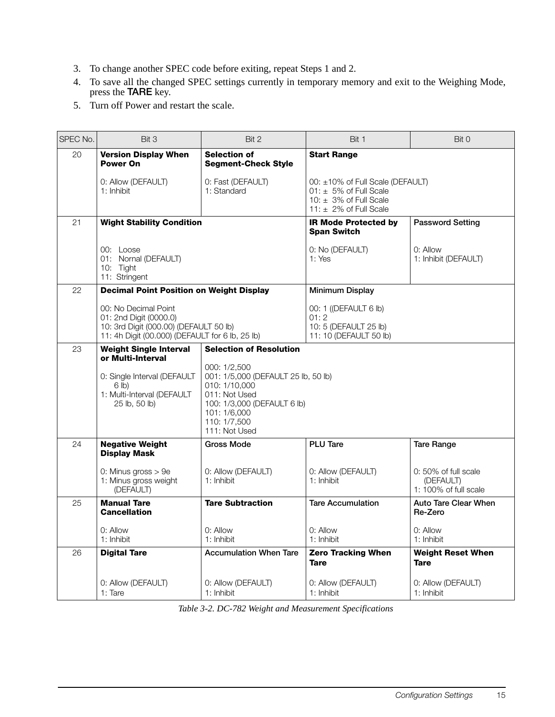- 3. To change another SPEC code before exiting, repeat Steps 1 and 2.
- 4. To save all the changed SPEC settings currently in temporary memory and exit to the Weighing Mode, press the **TARE** key.
- 5. Turn off Power and restart the scale.

| SPEC No. | Bit 3                                                                                                                                       | Bit 2                                                                                                                                                                 | Bit 1                                                                                                                    | Bit 0                                                      |
|----------|---------------------------------------------------------------------------------------------------------------------------------------------|-----------------------------------------------------------------------------------------------------------------------------------------------------------------------|--------------------------------------------------------------------------------------------------------------------------|------------------------------------------------------------|
| 20       | <b>Version Display When</b><br><b>Power On</b>                                                                                              | <b>Selection of</b><br><b>Segment-Check Style</b>                                                                                                                     | <b>Start Range</b>                                                                                                       |                                                            |
|          | 0: Allow (DEFAULT)<br>1: Inhibit                                                                                                            | 0: Fast (DEFAULT)<br>1: Standard                                                                                                                                      | 00: ±10% of Full Scale (DEFAULT)<br>$01: 15\%$ of Full Scale<br>10: $\pm$ 3% of Full Scale<br>11: $\pm$ 2% of Full Scale |                                                            |
| 21       | <b>Wight Stability Condition</b>                                                                                                            |                                                                                                                                                                       | <b>IR Mode Protected by</b><br><b>Span Switch</b>                                                                        | <b>Password Setting</b>                                    |
|          | 00: Loose<br>01: Nornal (DEFAULT)<br>10: Tight<br>11: Stringent                                                                             |                                                                                                                                                                       | 0: No (DEFAULT)<br>1: Yes                                                                                                | $0:$ Allow<br>1: Inhibit (DEFAULT)                         |
| 22       | <b>Decimal Point Position on Weight Display</b>                                                                                             |                                                                                                                                                                       | Minimum Display                                                                                                          |                                                            |
|          | 00: No Decimal Point<br>01: 2nd Digit (0000.0)<br>10: 3rd Digit (000.00) (DEFAULT 50 lb)<br>11: 4h Digit (00.000) (DEFAULT for 6 lb, 25 lb) |                                                                                                                                                                       | 00: 1 ((DEFAULT 6 lb)<br>01:2<br>10: 5 (DEFAULT 25 lb)<br>11: 10 (DEFAULT 50 lb)                                         |                                                            |
| 23       | <b>Weight Single Interval</b><br>or Multi-Interval                                                                                          | <b>Selection of Resolution</b>                                                                                                                                        |                                                                                                                          |                                                            |
|          | 0: Single Interval (DEFAULT<br>6 lb)<br>1: Multi-Interval (DEFAULT<br>25 lb, 50 lb)                                                         | 000: 1/2.500<br>001: 1/5,000 (DEFAULT 25 lb, 50 lb)<br>010: 1/10,000<br>011: Not Used<br>100: 1/3,000 (DEFAULT 6 lb)<br>101: 1/6,000<br>110: 1/7.500<br>111: Not Used |                                                                                                                          |                                                            |
| 24       | <b>Negative Weight</b><br><b>Display Mask</b>                                                                                               | Gross Mode                                                                                                                                                            | <b>PLU Tare</b>                                                                                                          | <b>Tare Range</b>                                          |
|          | 0: Minus gross $> 9e$<br>1: Minus gross weight<br>(DEFAULT)                                                                                 | 0: Allow (DEFAULT)<br>1: Inhibit                                                                                                                                      | 0: Allow (DEFAULT)<br>1: Inhibit                                                                                         | 0: 50% of full scale<br>(DEFAULT)<br>1: 100% of full scale |
| 25       | <b>Manual Tare</b><br><b>Cancellation</b>                                                                                                   | <b>Tare Subtraction</b>                                                                                                                                               | <b>Tare Accumulation</b>                                                                                                 | <b>Auto Tare Clear When</b><br>Re-Zero                     |
|          | 0: Allow<br>1: Inhibit                                                                                                                      | 0: Allow<br>1: Inhibit                                                                                                                                                | 0: Allow<br>1: Inhibit                                                                                                   | 0: Allow<br>1: Inhibit                                     |
| 26       | <b>Digital Tare</b>                                                                                                                         | <b>Accumulation When Tare</b>                                                                                                                                         | <b>Zero Tracking When</b><br><b>Tare</b>                                                                                 | <b>Weight Reset When</b><br><b>Tare</b>                    |
|          | 0: Allow (DEFAULT)<br>$1:$ Tare                                                                                                             | 0: Allow (DEFAULT)<br>1: Inhibit                                                                                                                                      | 0: Allow (DEFAULT)<br>1: Inhibit                                                                                         | 0: Allow (DEFAULT)<br>1: Inhibit                           |

<span id="page-18-0"></span>*Table 3-2. DC-782 Weight and Measurement Specifications*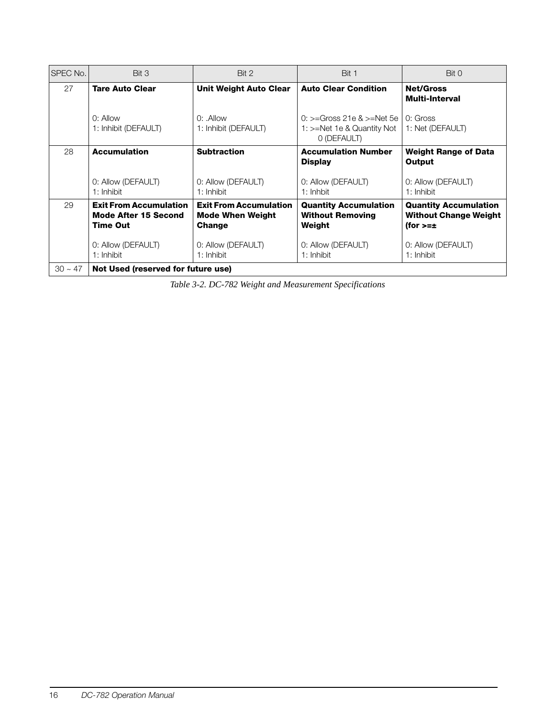| SPEC No.  | Bit 3                                                                           | Bit 2                                                              | Bit 1                                                                         | Bit 0                                                                        |
|-----------|---------------------------------------------------------------------------------|--------------------------------------------------------------------|-------------------------------------------------------------------------------|------------------------------------------------------------------------------|
| 27        | <b>Tare Auto Clear</b>                                                          | <b>Unit Weight Auto Clear</b>                                      | <b>Auto Clear Condition</b>                                                   | <b>Net/Gross</b><br><b>Multi-Interval</b>                                    |
|           | $0:$ Allow<br>1: Inhibit (DEFAULT)                                              | $0:$ Allow<br>1: Inhibit (DEFAULT)                                 | $0:>=$ Gross 21e & $>=$ Net 5e l<br>1: >=Net 1e & Quantity Not<br>0 (DEFAULT) | $0:$ Gross<br>1: Net (DEFAULT)                                               |
| 28        | <b>Accumulation</b>                                                             | <b>Subtraction</b>                                                 | <b>Accumulation Number</b><br><b>Display</b>                                  | <b>Weight Range of Data</b><br>Output                                        |
|           | 0: Allow (DEFAULT)<br>1: Inhibit                                                | 0: Allow (DEFAULT)<br>1: Inhibit                                   | 0: Allow (DEFAULT)<br>$1:$ Inhbit                                             | 0: Allow (DEFAULT)<br>1: Inhibit                                             |
| 29        | <b>Exit From Accumulation</b><br><b>Mode After 15 Second</b><br><b>Time Out</b> | <b>Exit From Accumulation</b><br><b>Mode When Weight</b><br>Change | <b>Quantity Accumulation</b><br><b>Without Removing</b><br>Weight             | <b>Quantity Accumulation</b><br><b>Without Change Weight</b><br>(for $>=\pm$ |
|           | 0: Allow (DEFAULT)<br>1: Inhibit                                                | 0: Allow (DEFAULT)<br>1: Inhibit                                   | 0: Allow (DEFAULT)<br>1: Inhibit                                              | 0: Allow (DEFAULT)<br>1: Inhibit                                             |
| $30 - 47$ | Not Used (reserved for future use)                                              |                                                                    |                                                                               |                                                                              |

*Table 3-2. DC-782 Weight and Measurement Specifications*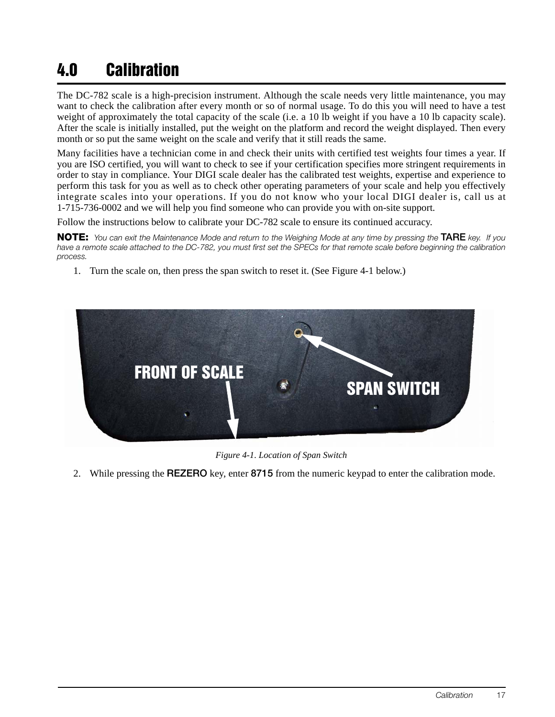# <span id="page-20-1"></span><span id="page-20-0"></span>4.0 Calibration

The DC-782 scale is a high-precision instrument. Although the scale needs very little maintenance, you may want to check the calibration after every month or so of normal usage. To do this you will need to have a test weight of approximately the total capacity of the scale (i.e. a 10 lb weight if you have a 10 lb capacity scale). After the scale is initially installed, put the weight on the platform and record the weight displayed. Then every month or so put the same weight on the scale and verify that it still reads the same.

Many facilities have a technician come in and check their units with certified test weights four times a year. If you are ISO certified, you will want to check to see if your certification specifies more stringent requirements in order to stay in compliance. Your DIGI scale dealer has the calibrated test weights, expertise and experience to perform this task for you as well as to check other operating parameters of your scale and help you effectively integrate scales into your operations. If you do not know who your local DIGI dealer is, call us at 1-715-736-0002 and we will help you find someone who can provide you with on-site support.

Follow the instructions below to calibrate your DC-782 scale to ensure its continued accuracy.

NOTE: You can exit the Maintenance Mode and return to the Weighing Mode at any time by pressing the TARE key. If you have a remote scale attached to the DC-782, you must first set the SPECs for that remote scale before beginning the calibration process.

1. Turn the scale on, then press the span switch to reset it. (See [Figure](#page-20-2) 4-1 below.)



*Figure 4-1. Location of Span Switch*

<span id="page-20-2"></span>2. While pressing the REZERO key, enter 8715 from the numeric keypad to enter the calibration mode.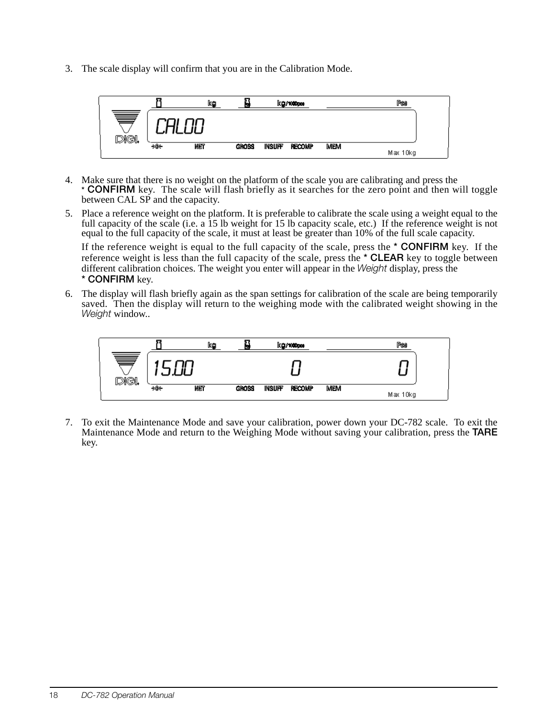3. The scale display will confirm that you are in the Calibration Mode.



- 4. Make sure that there is no weight on the platform of the scale you are calibrating and press the \* **CONFIRM** key. The scale will flash briefly as it searches for the zero point and then will toggle between CAL SP and the capacity.
- 5. Place a reference weight on the platform. It is preferable to calibrate the scale using a weight equal to the full capacity of the scale (i.e. a 15 lb weight for 15 lb capacity scale, etc.) If the reference weight is not equal to the full capacity of the scale, it must at least be greater than 10% of the full scale capacity.

If the reference weight is equal to the full capacity of the scale, press the  $*$  **CONFIRM** key. If the reference weight is less than the full capacity of the scale, press the \* CLEAR key to toggle between different calibration choices. The weight you enter will appear in the Weight display, press the \* CONFIRM key.

6. The display will flash briefly again as the span settings for calibration of the scale are being temporarily saved. Then the display will return to the weighing mode with the calibrated weight showing in the Weight window..



7. To exit the Maintenance Mode and save your calibration, power down your DC-782 scale. To exit the Maintenance Mode and return to the Weighing Mode without saving your calibration, press the TARE key.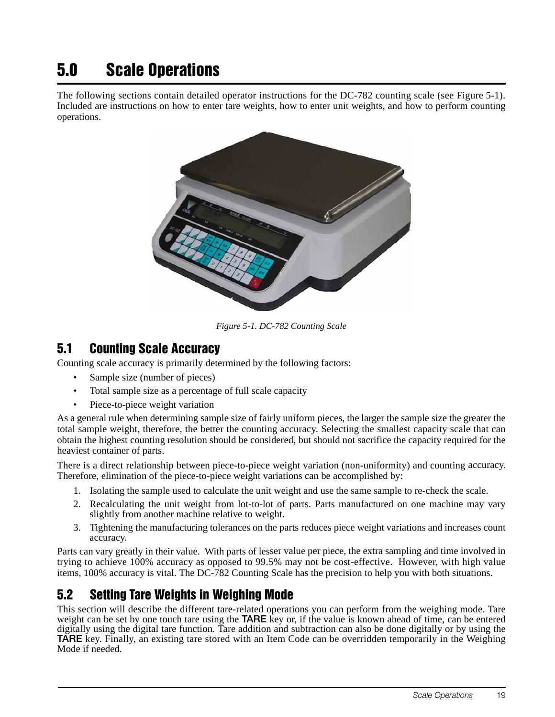# <span id="page-22-0"></span>5.0 Scale Operations

The following sections contain detailed operator instructions for the DC-782 counting scale (see [Figure](#page-22-3) 5-1). Included are instructions on how to enter tare weights, how to enter unit weights, and how to perform counting operations.



*Figure 5-1. DC-782 Counting Scale*

### <span id="page-22-3"></span><span id="page-22-1"></span>5.1 Counting Scale Accuracy

Counting scale accuracy is primarily determined by the following factors:

- Sample size (number of pieces)
- Total sample size as a percentage of full scale capacity
- Piece-to-piece weight variation

As a general rule when determining sample size of fairly uniform pieces, the larger the sample size the greater the total sample weight, therefore, the better the counting accuracy. Selecting the smallest capacity scale that can obtain the highest counting resolution should be considered, but should not sacrifice the capacity required for the heaviest container of parts.

There is a direct relationship between piece-to-piece weight variation (non-uniformity) and counting accuracy. Therefore, elimination of the piece-to-piece weight variations can be accomplished by:

- 1. Isolating the sample used to calculate the unit weight and use the same sample to re-check the scale.
- 2. Recalculating the unit weight from lot-to-lot of parts. Parts manufactured on one machine may vary slightly from another machine relative to weight.
- 3. Tightening the manufacturing tolerances on the parts reduces piece weight variations and increases count accuracy.

Parts can vary greatly in their value. With parts of lesser value per piece, the extra sampling and time involved in trying to achieve 100% accuracy as opposed to 99.5% may not be cost-effective. However, with high value items, 100% accuracy is vital. The DC-782 Counting Scale has the precision to help you with both situations.

## <span id="page-22-2"></span>5.2 Setting Tare Weights in Weighing Mode

This section will describe the different tare-related operations you can perform from the weighing mode. Tare weight can be set by one touch tare using the TARE key or, if the value is known ahead of time, can be entered digitally using the digital tare function. Tare addition and subtraction can also be done digitally or by using the TARE key. Finally, an existing tare stored with an Item Code can be overridden temporarily in the Weighing Mode if needed.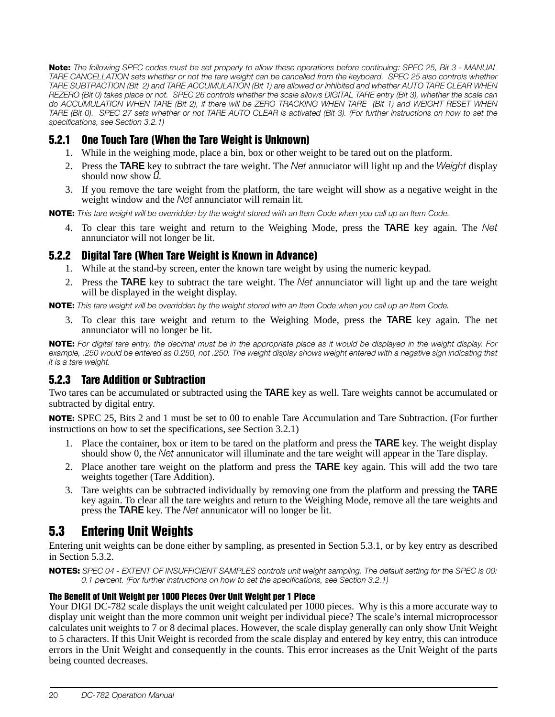Note: The following SPEC codes must be set properly to allow these operations before continuing: SPEC 25, Bit 3 - MANUAL TARE CANCELLATION sets whether or not the tare weight can be cancelled from the keyboard. SPEC 25 also controls whether TARE SUBTRACTION (Bit 2) and TARE ACCUMULATION (Bit 1) are allowed or inhibited and whether AUTO TARE CLEAR WHEN REZERO (Bit 0) takes place or not. SPEC 26 controls whether the scale allows DIGITAL TARE entry (Bit 3), whether the scale can do ACCUMULATION WHEN TARE (Bit 2), if there will be ZERO TRACKING WHEN TARE (Bit 1) and WEIGHT RESET WHEN TARE (Bit 0). SPEC 27 sets whether or not TARE AUTO CLEAR is activated (Bit 3). (For further instructions on how to set the specifications, see [Section](#page-15-4) 3.2.1)

#### <span id="page-23-0"></span>5.2.1 One Touch Tare (When the Tare Weight is Unknown)

- 1. While in the weighing mode, place a bin, box or other weight to be tared out on the platform.
- 2. Press the TARE key to subtract the tare weight. The Net annuciator will light up and the Weight display should now show  $\vec{u}$ .
- 3. If you remove the tare weight from the platform, the tare weight will show as a negative weight in the weight window and the Net annunciator will remain lit.

NOTE: This tare weight will be overridden by the weight stored with an Item Code when you call up an Item Code.

4. To clear this tare weight and return to the Weighing Mode, press the TARE key again. The Net annunciator will not longer be lit.

#### <span id="page-23-1"></span>5.2.2 Digital Tare (When Tare Weight is Known in Advance)

- 1. While at the stand-by screen, enter the known tare weight by using the numeric keypad.
- 2. Press the **TARE** key to subtract the tare weight. The *Net* annunciator will light up and the tare weight will be displayed in the weight display.

NOTE: This tare weight will be overridden by the weight stored with an Item Code when you call up an Item Code.

3. To clear this tare weight and return to the Weighing Mode, press the TARE key again. The net annunciator will no longer be lit.

NOTE: For digital tare entry, the decimal must be in the appropriate place as it would be displayed in the weight display. For example, .250 would be entered as 0.250, not .250. The weight display shows weight entered with a negative sign indicating that it is a tare weight.

#### <span id="page-23-2"></span>5.2.3 Tare Addition or Subtraction

Two tares can be accumulated or subtracted using the TARE key as well. Tare weights cannot be accumulated or subtracted by digital entry.

NOTE: SPEC 25, Bits 2 and 1 must be set to 00 to enable Tare Accumulation and Tare Subtraction. (For further instructions on how to set the specifications, see [Section](#page-15-4) 3.2.1)

- 1. Place the container, box or item to be tared on the platform and press the TARE key. The weight display should show 0, the Net annunicator will illuminate and the tare weight will appear in the Tare display.
- 2. Place another tare weight on the platform and press the TARE key again. This will add the two tare weights together (Tare Addition).
- 3. Tare weights can be subtracted individually by removing one from the platform and pressing the TARE key again. To clear all the tare weights and return to the Weighing Mode, remove all the tare weights and press the **TARE** key. The Net annunicator will no longer be lit.

# <span id="page-23-3"></span>5.3 Entering Unit Weights

Entering unit weights can be done either by sampling, as presented in [Section](#page-24-0) 5.3.1, or by key entry as described in [Section](#page-24-1) 5.3.2.

NOTES: SPEC 04 - EXTENT OF INSUFFICIENT SAMPLES controls unit weight sampling. The default setting for the SPEC is 00: 0.1 percent. (For further instructions on how to set the specifications, see [Section](#page-15-4) 3.2.1)

#### The Benefit of Unit Weight per 1000 Pieces Over Unit Weight per 1 Piece

Your DIGI DC-782 scale displays the unit weight calculated per 1000 pieces. Why is this a more accurate way to display unit weight than the more common unit weight per individual piece? The scale's internal microprocessor calculates unit weights to 7 or 8 decimal places. However, the scale display generally can only show Unit Weight to 5 characters. If this Unit Weight is recorded from the scale display and entered by key entry, this can introduce errors in the Unit Weight and consequently in the counts. This error increases as the Unit Weight of the parts being counted decreases.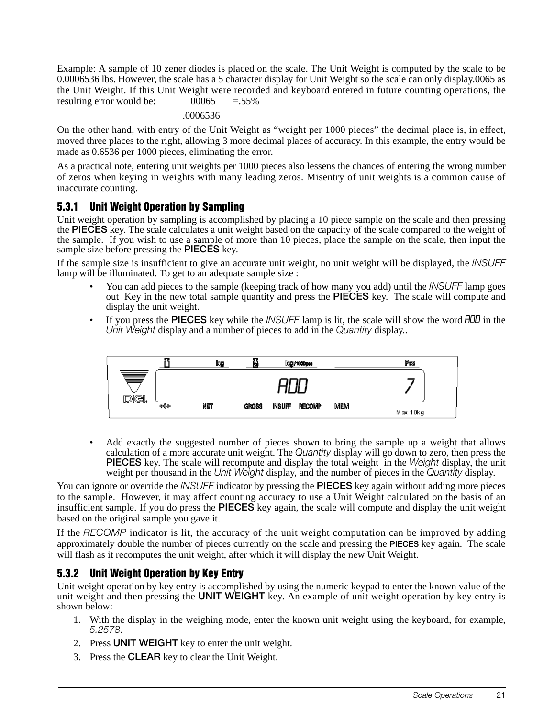Example: A sample of 10 zener diodes is placed on the scale. The Unit Weight is computed by the scale to be 0.0006536 lbs. However, the scale has a 5 character display for Unit Weight so the scale can only display.0065 as the Unit Weight. If this Unit Weight were recorded and keyboard entered in future counting operations, the resulting error would be:  $0.0065 = 0.55\%$ 

.0006536

On the other hand, with entry of the Unit Weight as "weight per 1000 pieces" the decimal place is, in effect, moved three places to the right, allowing 3 more decimal places of accuracy. In this example, the entry would be made as 0.6536 per 1000 pieces, eliminating the error.

As a practical note, entering unit weights per 1000 pieces also lessens the chances of entering the wrong number of zeros when keying in weights with many leading zeros. Misentry of unit weights is a common cause of inaccurate counting.

#### <span id="page-24-0"></span>5.3.1 Unit Weight Operation by Sampling

Unit weight operation by sampling is accomplished by placing a 10 piece sample on the scale and then pressing the PIECES key. The scale calculates a unit weight based on the capacity of the scale compared to the weight of the sample. If you wish to use a sample of more than 10 pieces, place the sample on the scale, then input the sample size before pressing the **PIECES** key.

If the sample size is insufficient to give an accurate unit weight, no unit weight will be displayed, the INSUFF lamp will be illuminated. To get to an adequate sample size :

- You can add pieces to the sample (keeping track of how many you add) until the INSUFF lamp goes out Key in the new total sample quantity and press the PIECES key. The scale will compute and display the unit weight.
- If you press the PIECES key while the *INSUFF* lamp is lit, the scale will show the word *ADD* in the Unit Weight display and a number of pieces to add in the Quantity display...



Add exactly the suggested number of pieces shown to bring the sample up a weight that allows calculation of a more accurate unit weight. The Quantity display will go down to zero, then press the PIECES key. The scale will recompute and display the total weight in the Weight display, the unit weight per thousand in the Unit Weight display, and the number of pieces in the Quantity display.

You can ignore or override the *INSUFF* indicator by pressing the **PIECES** key again without adding more pieces to the sample. However, it may affect counting accuracy to use a Unit Weight calculated on the basis of an insufficient sample. If you do press the PIECES key again, the scale will compute and display the unit weight based on the original sample you gave it.

If the RECOMP indicator is lit, the accuracy of the unit weight computation can be improved by adding approximately double the number of pieces currently on the scale and pressing the PIECES key again. The scale will flash as it recomputes the unit weight, after which it will display the new Unit Weight.

#### <span id="page-24-1"></span>5.3.2 Unit Weight Operation by Key Entry

Unit weight operation by key entry is accomplished by using the numeric keypad to enter the known value of the unit weight and then pressing the UNIT WEIGHT key. An example of unit weight operation by key entry is shown below:

- 1. With the display in the weighing mode, enter the known unit weight using the keyboard, for example, 5.2578.
- 2. Press UNIT WEIGHT key to enter the unit weight.
- 3. Press the CLEAR key to clear the Unit Weight.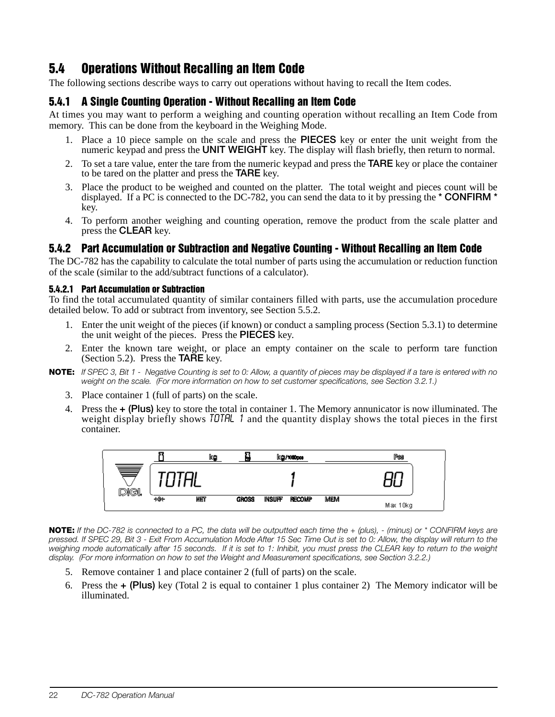# <span id="page-25-0"></span>5.4 Operations Without Recalling an Item Code

The following sections describe ways to carry out operations without having to recall the Item codes.

#### <span id="page-25-1"></span>5.4.1 A Single Counting Operation - Without Recalling an Item Code

At times you may want to perform a weighing and counting operation without recalling an Item Code from memory. This can be done from the keyboard in the Weighing Mode.

- 1. Place a 10 piece sample on the scale and press the PIECES key or enter the unit weight from the numeric keypad and press the UNIT WEIGHT key. The display will flash briefly, then return to normal.
- 2. To set a tare value, enter the tare from the numeric keypad and press the **TARE** key or place the container to be tared on the platter and press the TARE key.
- 3. Place the product to be weighed and counted on the platter. The total weight and pieces count will be displayed. If a PC is connected to the DC-782, you can send the data to it by pressing the  $*$  **CONFIRM**  $*$ key.
- 4. To perform another weighing and counting operation, remove the product from the scale platter and press the CLEAR key.

#### <span id="page-25-2"></span>5.4.2 Part Accumulation or Subtraction and Negative Counting - Without Recalling an Item Code

The DC-782 has the capability to calculate the total number of parts using the accumulation or reduction function of the scale (similar to the add/subtract functions of a calculator).

#### 5.4.2.1 Part Accumulation or Subtraction

To find the total accumulated quantity of similar containers filled with parts, use the accumulation procedure detailed below. To add or subtract from inventory, see [Section](#page-27-2) 5.5.2.

- 1. Enter the unit weight of the pieces (if known) or conduct a sampling process [\(Section](#page-24-0) 5.3.1) to determine the unit weight of the pieces. Press the PIECES key.
- 2. Enter the known tare weight, or place an empty container on the scale to perform tare function ([Section](#page-22-2) 5.2). Press the  $TA\overline{R}E$  key.
- NOTE: If SPEC 3, Bit 1 Negative Counting is set to 0: Allow, a quantity of pieces may be displayed if a tare is entered with no weight on the scale. (For more information on how to set customer specifications, see [Section](#page-15-4) 3.2.1.)
	- 3. Place container 1 (full of parts) on the scale.
	- 4. Press the + (Plus) key to store the total in container 1. The Memory annunicator is now illuminated. The weight display briefly shows  $T\ddot{\theta}$  and the quantity display shows the total pieces in the first container.



NOTE: If the DC-782 is connected to a PC, the data will be outputted each time the  $+$  (plus),  $-$  (minus) or  $*$  CONFIRM keys are pressed. If SPEC 29, Bit 3 - Exit From Accumulation Mode After 15 Sec Time Out is set to 0: Allow, the display will return to the weighing mode automatically after 15 seconds. If it is set to 1: Inhibit, you must press the CLEAR key to return to the weight display. (For more information on how to set the Weight and Measurement specifications, see [Section](#page-17-1) 3.2.2.)

- 5. Remove container 1 and place container 2 (full of parts) on the scale.
- 6. Press the  $\pm$  (Plus) key (Total 2 is equal to container 1 plus container 2) The Memory indicator will be illuminated.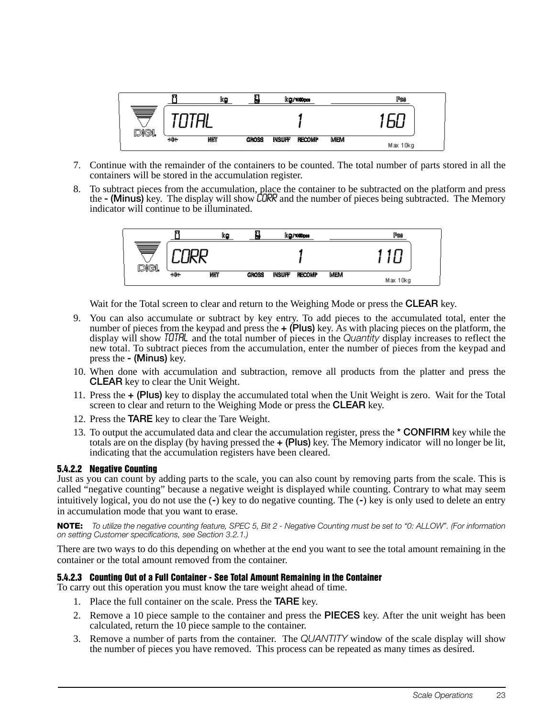

- 7. Continue with the remainder of the containers to be counted. The total number of parts stored in all the containers will be stored in the accumulation register.
- 8. To subtract pieces from the accumulation, place the container to be subtracted on the platform and press the - (Minus) key. The display will show CORR and the number of pieces being subtracted. The Memory indicator will continue to be illuminated.



Wait for the Total screen to clear and return to the Weighing Mode or press the **CLEAR** key.

- 9. You can also accumulate or subtract by key entry. To add pieces to the accumulated total, enter the number of pieces from the keypad and press the  $+$  (Plus) key. As with placing pieces on the platform, the display will show TOTHL and the total number of pieces in the Quantity display increases to reflect the new total. To subtract pieces from the accumulation, enter the number of pieces from the keypad and press the - (Minus) key.
- 10. When done with accumulation and subtraction, remove all products from the platter and press the CLEAR key to clear the Unit Weight.
- 11. Press the + (Plus) key to display the accumulated total when the Unit Weight is zero. Wait for the Total screen to clear and return to the Weighing Mode or press the CLEAR key.
- 12. Press the TARE key to clear the Tare Weight.
- 13. To output the accumulated data and clear the accumulation register, press the \* **CONFIRM** key while the totals are on the display (by having pressed the  $+$  (Plus) key. The Memory indicator will no longer be lit, indicating that the accumulation registers have been cleared.

#### 5.4.2.2 Negative Counting

Just as you can count by adding parts to the scale, you can also count by removing parts from the scale. This is called "negative counting" because a negative weight is displayed while counting. Contrary to what may seem intuitively logical, you do not use the (-) key to do negative counting. The (-) key is only used to delete an entry in accumulation mode that you want to erase.

NOTE: To utilize the negative counting feature, SPEC 5, Bit 2 - Negative Counting must be set to "0: ALLOW". (For information on setting Customer specifications, see [Section](#page-15-4) 3.2.1.)

There are two ways to do this depending on whether at the end you want to see the total amount remaining in the container or the total amount removed from the container.

#### 5.4.2.3 Counting Out of a Full Container - See Total Amount Remaining in the Container

To carry out this operation you must know the tare weight ahead of time.

- 1. Place the full container on the scale. Press the **TARE** key.
- 2. Remove a 10 piece sample to the container and press the PIECES key. After the unit weight has been calculated, return the 10 piece sample to the container.
- 3. Remove a number of parts from the container. The QUANTITY window of the scale display will show the number of pieces you have removed. This process can be repeated as many times as desired.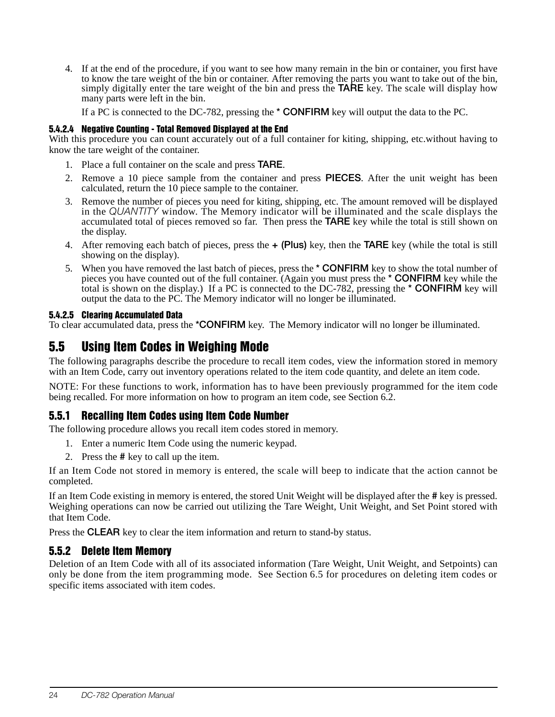4. If at the end of the procedure, if you want to see how many remain in the bin or container, you first have to know the tare weight of the bin or container. After removing the parts you want to take out of the bin, simply digitally enter the tare weight of the bin and press the **TARE** key. The scale will display how many parts were left in the bin.

If a PC is connected to the DC-782, pressing the  $*$  **CONFIRM** key will output the data to the PC.

#### 5.4.2.4 Negative Counting - Total Removed Displayed at the End

With this procedure you can count accurately out of a full container for kiting, shipping, etc.without having to know the tare weight of the container.

- 1. Place a full container on the scale and press TARE.
- 2. Remove a 10 piece sample from the container and press PIECES. After the unit weight has been calculated, return the 10 piece sample to the container.
- 3. Remove the number of pieces you need for kiting, shipping, etc. The amount removed will be displayed in the QUANTITY window. The Memory indicator will be illuminated and the scale displays the accumulated total of pieces removed so far. Then press the **TARE** key while the total is still shown on the display.
- 4. After removing each batch of pieces, press the  $+$  (Plus) key, then the TARE key (while the total is still showing on the display).
- 5. When you have removed the last batch of pieces, press the \* CONFIRM key to show the total number of pieces you have counted out of the full container. (Again you must press the \* CONFIRM key while the total is shown on the display.) If a PC is connected to the DC-782, pressing the \* CONFIRM key will output the data to the PC. The Memory indicator will no longer be illuminated.

#### 5.4.2.5 Clearing Accumulated Data

To clear accumulated data, press the \*CONFIRM key. The Memory indicator will no longer be illuminated.

### <span id="page-27-3"></span><span id="page-27-0"></span>5.5 Using Item Codes in Weighing Mode

The following paragraphs describe the procedure to recall item codes, view the information stored in memory with an Item Code, carry out inventory operations related to the item code quantity, and delete an item code.

NOTE: For these functions to work, information has to have been previously programmed for the item code being recalled. For more information on how to program an item code, see [Section](#page-28-2) 6.2.

#### <span id="page-27-1"></span>5.5.1 Recalling Item Codes using Item Code Number

The following procedure allows you recall item codes stored in memory.

- 1. Enter a numeric Item Code using the numeric keypad.
- 2. Press the # key to call up the item.

If an Item Code not stored in memory is entered, the scale will beep to indicate that the action cannot be completed.

If an Item Code existing in memory is entered, the stored Unit Weight will be displayed after the # key is pressed. Weighing operations can now be carried out utilizing the Tare Weight, Unit Weight, and Set Point stored with that Item Code.

Press the **CLEAR** key to clear the item information and return to stand-by status.

#### <span id="page-27-2"></span>5.5.2 Delete Item Memory

Deletion of an Item Code with all of its associated information (Tare Weight, Unit Weight, and Setpoints) can only be done from the item programming mode. See [Section](#page-31-1) 6.5 for procedures on deleting item codes or specific items associated with item codes.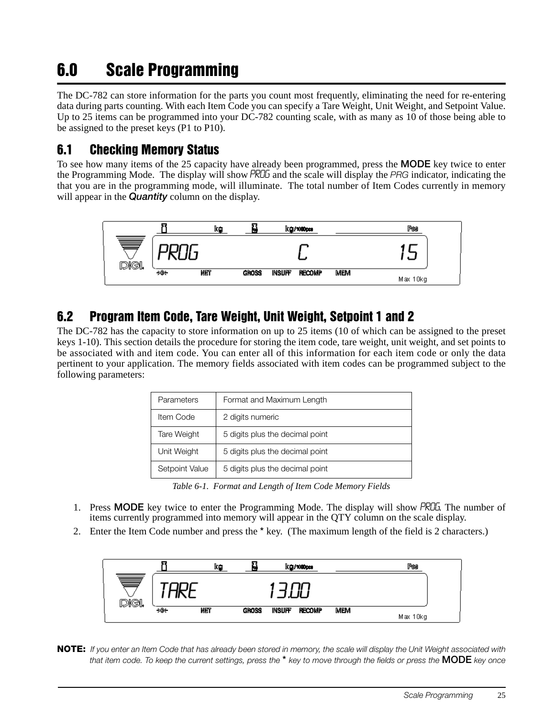# 6.0 Scale Programming

The DC-782 can store information for the parts you count most frequently, eliminating the need for re-entering data during parts counting. With each Item Code you can specify a Tare Weight, Unit Weight, and Setpoint Value. Up to 25 items can be programmed into your DC-782 counting scale, with as many as 10 of those being able to be assigned to the preset keys (P1 to P10).

### <span id="page-28-0"></span>6.1 Checking Memory Status

To see how many items of the 25 capacity have already been programmed, press the **MODE** key twice to enter the Programming Mode. The display will show PROG and the scale will display the PRG indicator, indicating the that you are in the programming mode, will illuminate. The total number of Item Codes currently in memory will appear in the **Quantity** column on the display.



# <span id="page-28-2"></span><span id="page-28-1"></span>6.2 Program Item Code, Tare Weight, Unit Weight, Setpoint 1 and 2

The DC-782 has the capacity to store information on up to 25 items (10 of which can be assigned to the preset keys 1-10). This section details the procedure for storing the item code, tare weight, unit weight, and set points to be associated with and item code. You can enter all of this information for each item code or only the data pertinent to your application. The memory fields associated with item codes can be programmed subject to the following parameters:

| Format and Maximum Length<br>Parameters |                                 |  |  |
|-----------------------------------------|---------------------------------|--|--|
| Item Code                               | 2 digits numeric                |  |  |
| Tare Weight                             | 5 digits plus the decimal point |  |  |
| Unit Weight                             | 5 digits plus the decimal point |  |  |
| Setpoint Value                          | 5 digits plus the decimal point |  |  |

*Table 6-1. Format and Length of Item Code Memory Fields*

- 1. Press MODE key twice to enter the Programming Mode. The display will show PROG. The number of items currently programmed into memory will appear in the QTY column on the scale display.
- 2. Enter the Item Code number and press the \* key. (The maximum length of the field is 2 characters.)



NOTE: If you enter an Item Code that has already been stored in memory, the scale will display the Unit Weight associated with that item code. To keep the current settings, press the  $*$  key to move through the fields or press the **MODE** key once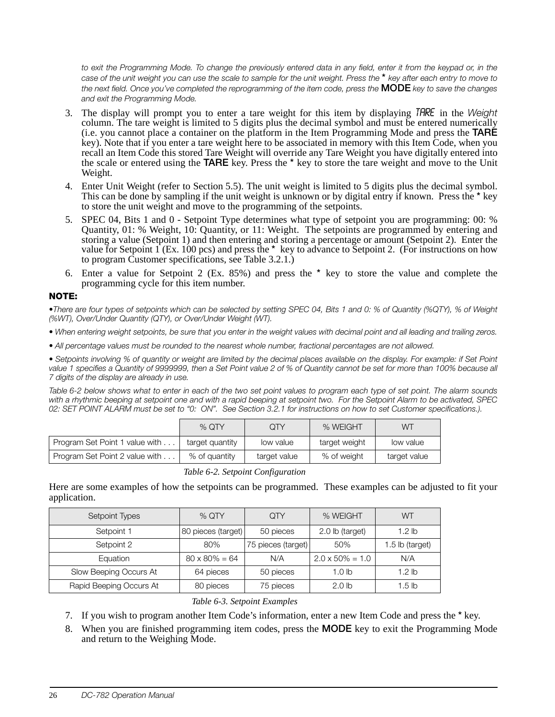to exit the Programming Mode. To change the previously entered data in any field, enter it from the keypad or, in the case of the unit weight you can use the scale to sample for the unit weight. Press the \* key after each entry to move to the next field. Once you've completed the reprogramming of the item code, press the  ${\sf MODE}$  key to save the changes and exit the Programming Mode.

- 3. The display will prompt you to enter a tare weight for this item by displaying TARE in the Weight column. The tare weight is limited to 5 digits plus the decimal symbol and must be entered numerically (i.e. you cannot place a container on the platform in the Item Programming Mode and press the **TARE** key). Note that if you enter a tare weight here to be associated in memory with this Item Code, when you recall an Item Code this stored Tare Weight will override any Tare Weight you have digitally entered into the scale or entered using the **TARE** key. Press the \* key to store the tare weight and move to the Unit Weight.
- 4. Enter Unit Weight (refer to [Section](#page-27-3) 5.5). The unit weight is limited to 5 digits plus the decimal symbol. This can be done by sampling if the unit weight is unknown or by digital entry if known. Press the \* key to store the unit weight and move to the programming of the setpoints.
- 5. SPEC 04, Bits 1 and 0 Setpoint Type determines what type of setpoint you are programming: 00: % Quantity, 01: % Weight, 10: Quantity, or 11: Weight. The setpoints are programmed by entering and storing a value (Setpoint 1) and then entering and storing a percentage or amount (Setpoint 2). Enter the value for Setpoint 1 (Ex. 100 pcs) and press the \* key to advance to Setpoint 2. (For instructions on how to program Customer specifications, see [Table](#page-15-4) 3.2.1.)
- 6. Enter a value for Setpoint 2 (Ex. 85%) and press the \* key to store the value and complete the programming cycle for this item number.

#### NOTE:

•There are four types of setpoints which can be selected by setting SPEC 04, Bits 1 and 0: % of Quantity (%QTY), % of Weight (%WT), Over/Under Quantity (QTY), or Over/Under Weight (WT).

• When entering weight setpoints, be sure that you enter in the weight values with decimal point and all leading and trailing zeros.

• All percentage values must be rounded to the nearest whole number, fractional percentages are not allowed.

• Setpoints involving % of quantity or weight are limited by the decimal places available on the display. For example: if Set Point value 1 specifies a Quantity of 9999999, then a Set Point value 2 of % of Quantity cannot be set for more than 100% because all 7 digits of the display are already in use.

[Table](#page-29-0) 6-2 below shows what to enter in each of the two set point values to program each type of set point. The alarm sounds with a rhythmic beeping at setpoint one and with a rapid beeping at setpoint two. For the Setpoint Alarm to be activated, SPEC 02: SET POINT ALARM must be set to "0: ON". See [Section](#page-15-4) 3.2.1 for instructions on how to set Customer specifications.).

|                                | $%$ OTY         | QTY          | % WEIGHT      | WТ           |
|--------------------------------|-----------------|--------------|---------------|--------------|
| Program Set Point 1 value with | target quantity | low value    | target weight | low value    |
| Program Set Point 2 value with | % of quantity   | target value | % of weight   | target value |

*Table 6-2. Setpoint Configuration*

<span id="page-29-0"></span>Here are some examples of how the setpoints can be programmed. These examples can be adjusted to fit your application.

| Setpoint Types          | $%$ QTY               | QTY                | % WEIGHT                | WТ                |
|-------------------------|-----------------------|--------------------|-------------------------|-------------------|
| Setpoint 1              | 80 pieces (target)    | 50 pieces          | 2.0 lb (target)         | 1.2 <sub>lb</sub> |
| Setpoint 2              | 80%                   | 75 pieces (target) | 50%                     | 1.5 lb (target)   |
| Equation                | $80 \times 80\% = 64$ | N/A                | $2.0 \times 50\% = 1.0$ | N/A               |
| Slow Beeping Occurs At  | 64 pieces             | 50 pieces          | 1.0 lb                  | 1.2 <sub>lb</sub> |
| Rapid Beeping Occurs At | 80 pieces             | 75 pieces          | 2.0 <sub>h</sub>        | 1.5 <sub>lb</sub> |

#### *Table 6-3. Setpoint Examples*

- 7. If you wish to program another Item Code's information, enter a new Item Code and press the \* key.
- 8. When you are finished programming item codes, press the MODE key to exit the Programming Mode and return to the Weighing Mode.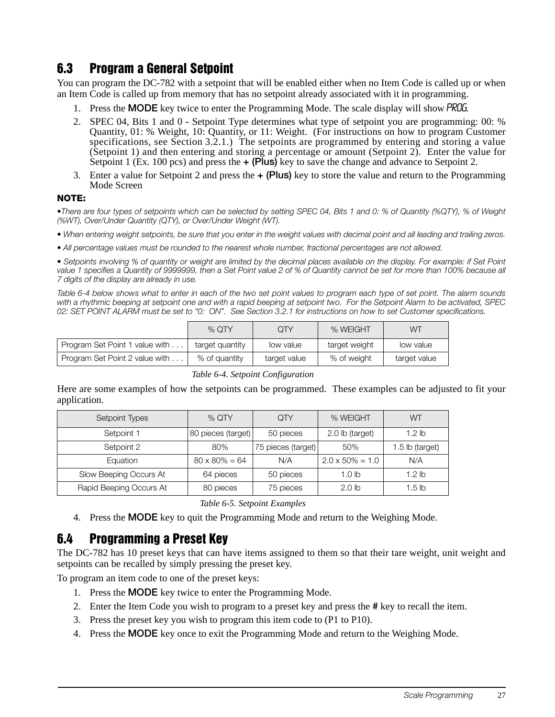# 6.3 Program a General Setpoint

You can program the DC-782 with a setpoint that will be enabled either when no Item Code is called up or when an Item Code is called up from memory that has no setpoint already associated with it in programming.

- 1. Press the **MODE** key twice to enter the Programming Mode. The scale display will show *PROG*.
- 2. SPEC 04, Bits 1 and 0 Setpoint Type determines what type of setpoint you are programming: 00: % Quantity, 01: % Weight, 10: Quantity, or 11: Weight. (For instructions on how to program Customer specifications, see [Section](#page-15-4) 3.2.1.) The setpoints are programmed by entering and storing a value (Setpoint 1) and then entering and storing a percentage or amount (Setpoint 2). Enter the value for Setpoint 1 (Ex. 100 pcs) and press the  $\div$  (Plus) key to save the change and advance to Setpoint 2.
- 3. Enter a value for Setpoint 2 and press the  $+$  (Plus) key to store the value and return to the Programming Mode Screen

#### NOTE:

•There are four types of setpoints which can be selected by setting SPEC 04, Bits 1 and 0: % of Quantity (%QTY), % of Weight (%WT), Over/Under Quantity (QTY), or Over/Under Weight (WT).

• When entering weight setpoints, be sure that you enter in the weight values with decimal point and all leading and trailing zeros.

• All percentage values must be rounded to the nearest whole number, fractional percentages are not allowed.

• Setpoints involving % of quantity or weight are limited by the decimal places available on the display. For example: if Set Point value 1 specifies a Quantity of 9999999, then a Set Point value 2 of % of Quantity cannot be set for more than 100% because all 7 digits of the display are already in use.

[Table](#page-30-1) 6-4 below shows what to enter in each of the two set point values to program each type of set point. The alarm sounds with a rhythmic beeping at setpoint one and with a rapid beeping at setpoint two. For the Setpoint Alarm to be activated, SPEC 02: SET POINT ALARM must be set to "0: ON". See [Section](#page-15-4) 3.2.1 for instructions on how to set Customer specifications.

|                                | % $\Omega$ TY   | ЭTY          | % WEIGHT      | WТ           |
|--------------------------------|-----------------|--------------|---------------|--------------|
| Program Set Point 1 value with | target quantity | low value    | target weight | low value    |
| Program Set Point 2 value with | % of quantity   | target value | % of weight   | target value |



<span id="page-30-1"></span>Here are some examples of how the setpoints can be programmed. These examples can be adjusted to fit your application.

| Setpoint Types          | $%$ QTY               | <b>QTY</b>         | % WEIGHT                | WТ                |
|-------------------------|-----------------------|--------------------|-------------------------|-------------------|
| Setpoint 1              | 80 pieces (target)    | 50 pieces          | 2.0 lb (target)         | 1.2 <sub>lh</sub> |
| Setpoint 2              | 80%                   | 75 pieces (target) | 50%                     | 1.5 lb (target)   |
| Equation                | $80 \times 80\% = 64$ | N/A                | $2.0 \times 50\% = 1.0$ | N/A               |
| Slow Beeping Occurs At  | 64 pieces             | 50 pieces          | 1.0 lb                  | 1.2 <sub>lb</sub> |
| Rapid Beeping Occurs At | 80 pieces             | 75 pieces          | 2.0 <sub>lb</sub>       | 1.5 <sub>h</sub>  |

*Table 6-5. Setpoint Examples*

4. Press the MODE key to quit the Programming Mode and return to the Weighing Mode.

## <span id="page-30-0"></span>6.4 Programming a Preset Key

The DC-782 has 10 preset keys that can have items assigned to them so that their tare weight, unit weight and setpoints can be recalled by simply pressing the preset key.

To program an item code to one of the preset keys:

- 1. Press the MODE key twice to enter the Programming Mode.
- 2. Enter the Item Code you wish to program to a preset key and press the # key to recall the item.
- 3. Press the preset key you wish to program this item code to (P1 to P10).
- 4. Press the MODE key once to exit the Programming Mode and return to the Weighing Mode.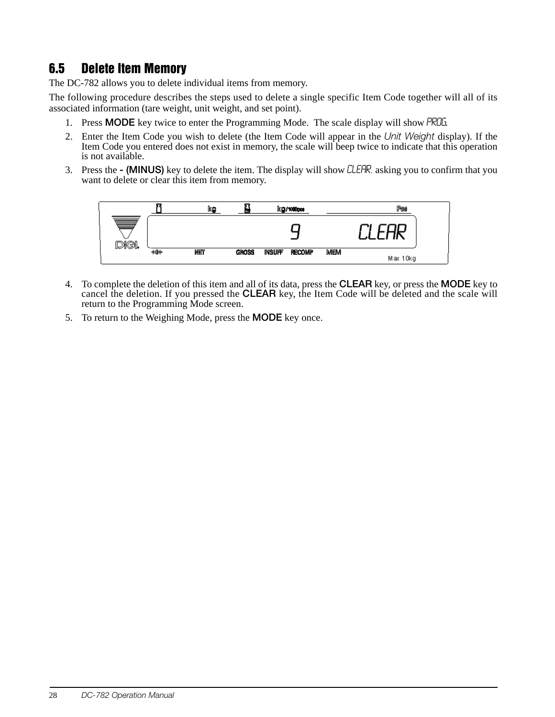# <span id="page-31-1"></span><span id="page-31-0"></span>6.5 Delete Item Memory

The DC-782 allows you to delete individual items from memory.

The following procedure describes the steps used to delete a single specific Item Code together will all of its associated information (tare weight, unit weight, and set point).

- 1. Press **MODE** key twice to enter the Programming Mode. The scale display will show *PROG*.
- 2. Enter the Item Code you wish to delete (the Item Code will appear in the Unit Weight display). If the Item Code you entered does not exist in memory, the scale will beep twice to indicate that this operation is not available.
- 3. Press the (MINUS) key to delete the item. The display will show CLEFIR, asking you to confirm that you want to delete or clear this item from memory.



- 4. To complete the deletion of this item and all of its data, press the CLEAR key, or press the MODE key to cancel the deletion. If you pressed the CLEAR key, the Item Code will be deleted and the scale will return to the Programming Mode screen.
- 5. To return to the Weighing Mode, press the MODE key once.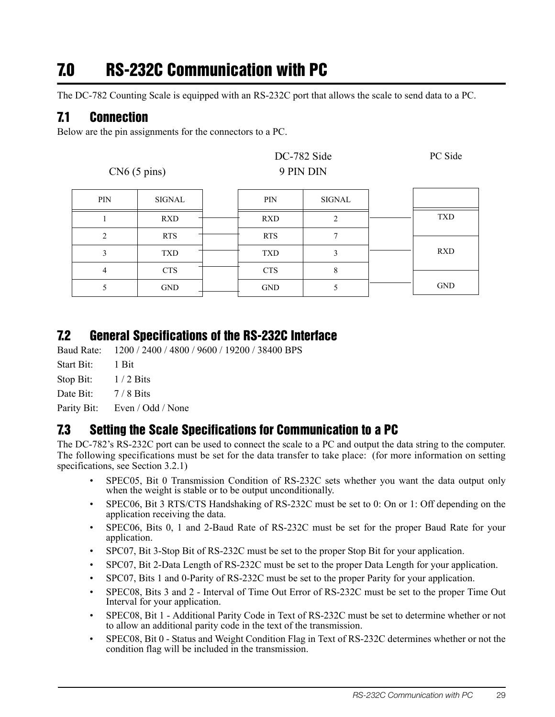# <span id="page-32-0"></span>7.0 RS-232C Communication with PC

The DC-782 Counting Scale is equipped with an RS-232C port that allows the scale to send data to a PC.

# <span id="page-32-1"></span>7.1 Connection

Below are the pin assignments for the connectors to a PC.

| $CN6(5 \text{ pins})$ |            |  | 9 PIN DIN  | DC-782 Side   | PC Side    |
|-----------------------|------------|--|------------|---------------|------------|
| PIN                   | SIGNAL     |  | PIN        | <b>SIGNAL</b> |            |
|                       | <b>RXD</b> |  | <b>RXD</b> | 2             | <b>TXD</b> |
| $\overline{2}$        | <b>RTS</b> |  | <b>RTS</b> | 7             |            |
| 3                     | <b>TXD</b> |  | <b>TXD</b> | 3             | <b>RXD</b> |
| 4                     | <b>CTS</b> |  | <b>CTS</b> | 8             |            |
| 5                     | <b>GND</b> |  | <b>GND</b> | 5             | <b>GND</b> |

### <span id="page-32-2"></span>7.2 General Specifications of the RS-232C Interface

Baud Rate: 1200 / 2400 / 4800 / 9600 / 19200 / 38400 BPS

Start Bit: 1 Bit

Stop Bit:  $1/2$  Bits

Date Bit: 7/8 Bits

Parity Bit: Even / Odd / None

### <span id="page-32-3"></span>7.3 Setting the Scale Specifications for Communication to a PC

The DC-782's RS-232C port can be used to connect the scale to a PC and output the data string to the computer. The following specifications must be set for the data transfer to take place: (for more information on setting specifications, see [Section](#page-15-4) 3.2.1)

- SPEC05, Bit 0 Transmission Condition of RS-232C sets whether you want the data output only when the weight is stable or to be output unconditionally.
- SPEC06, Bit 3 RTS/CTS Handshaking of RS-232C must be set to 0: On or 1: Off depending on the application receiving the data.
- SPEC06, Bits 0, 1 and 2-Baud Rate of RS-232C must be set for the proper Baud Rate for your application.
- SPC07, Bit 3-Stop Bit of RS-232C must be set to the proper Stop Bit for your application.
- SPC07, Bit 2-Data Length of RS-232C must be set to the proper Data Length for your application.
- SPC07, Bits 1 and 0-Parity of RS-232C must be set to the proper Parity for your application.
- SPEC08, Bits 3 and 2 Interval of Time Out Error of RS-232C must be set to the proper Time Out Interval for your application.
- SPEC08, Bit 1 Additional Parity Code in Text of RS-232C must be set to determine whether or not to allow an additional parity code in the text of the transmission.
- SPEC08, Bit 0 Status and Weight Condition Flag in Text of RS-232C determines whether or not the condition flag will be included in the transmission.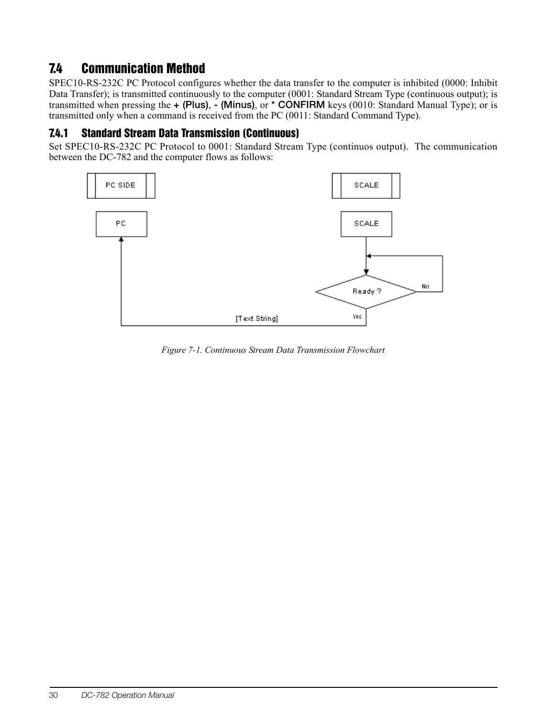# <span id="page-33-0"></span>7.4 Communication Method

SPEC10-RS-232C PC Protocol configures whether the data transfer to the computer is inhibited (0000: Inhibit Data Transfer); is transmitted continuously to the computer (0001: Standard Stream Type (continuous output); is transmitted when pressing the + (Plus), - (Minus), or \* CONFIRM keys (0010: Standard Manual Type); or is transmitted only when a command is received from the PC (0011: Standard Command Type).

### <span id="page-33-1"></span>7.4.1 Standard Stream Data Transmission (Continuous)

Set SPEC10-RS-232C PC Protocol to 0001: Standard Stream Type (continuos output). The communication between the DC-782 and the computer flows as follows:



*Figure 7-1. Continuous Stream Data Transmission Flowchart*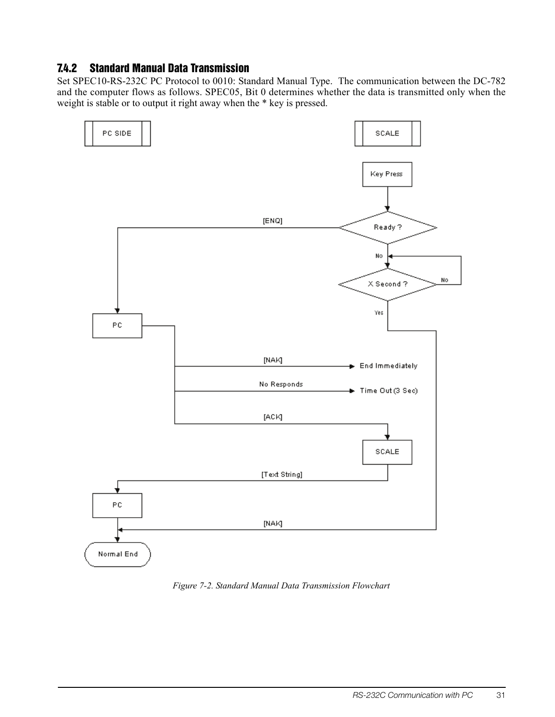#### <span id="page-34-0"></span>7.4.2 Standard Manual Data Transmission

Set SPEC10-RS-232C PC Protocol to 0010: Standard Manual Type. The communication between the DC-782 and the computer flows as follows. SPEC05, Bit 0 determines whether the data is transmitted only when the weight is stable or to output it right away when the \* key is pressed.



*Figure 7-2. Standard Manual Data Transmission Flowchart*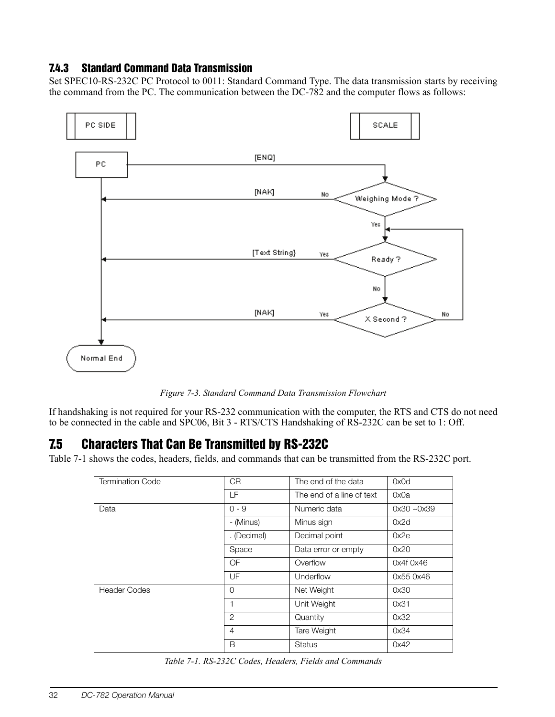#### <span id="page-35-0"></span>7.4.3 Standard Command Data Transmission

Set SPEC10-RS-232C PC Protocol to 0011: Standard Command Type. The data transmission starts by receiving the command from the PC. The communication between the DC-782 and the computer flows as follows:



*Figure 7-3. Standard Command Data Transmission Flowchart*

If handshaking is not required for your RS-232 communication with the computer, the RTS and CTS do not need to be connected in the cable and SPC06, Bit 3 - RTS/CTS Handshaking of RS-232C can be set to 1: Off.

# <span id="page-35-1"></span>7.5 Characters That Can Be Transmitted by RS-232C

[Table](#page-35-2) 7-1 shows the codes, headers, fields, and commands that can be transmitted from the RS-232C port.

| <b>Termination Code</b> | CR             | The end of the data       | 0x0d          |
|-------------------------|----------------|---------------------------|---------------|
|                         | LF             | The end of a line of text | 0x0a          |
| Data                    | $0 - 9$        | Numeric data              | $0x30 - 0x39$ |
|                         | - (Minus)      | Minus sign                | 0x2d          |
|                         | . (Decimal)    | Decimal point             | 0x2e          |
|                         | Space          | Data error or empty       | 0x20          |
|                         | OF             | Overflow                  | 0x4f 0x46     |
|                         | UF             | Underflow                 | 0x55 0x46     |
| <b>Header Codes</b>     | $\Omega$       | Net Weight                | 0x30          |
|                         | 1              | Unit Weight               | 0x31          |
|                         | $\overline{2}$ | Quantity                  | 0x32          |
|                         | $\overline{4}$ | Tare Weight               | 0x34          |
|                         | B              | <b>Status</b>             | 0x42          |

<span id="page-35-2"></span>*Table 7-1. RS-232C Codes, Headers, Fields and Commands*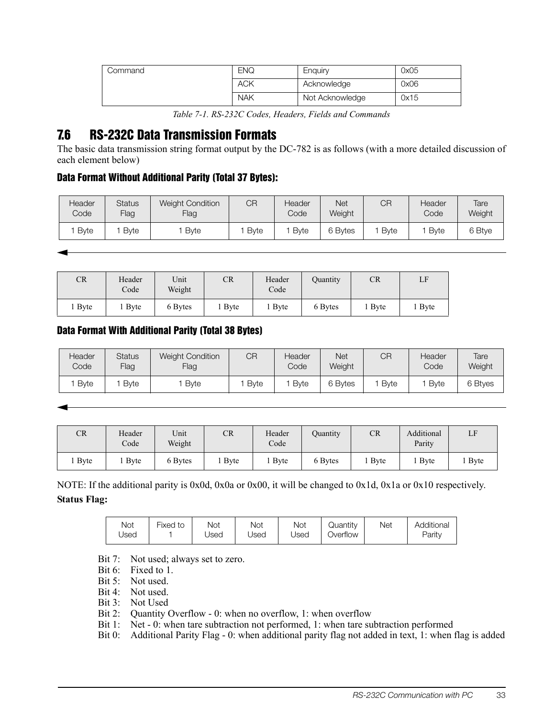| Command | <b>ENQ</b> | Enguiry         | 0x05 |
|---------|------------|-----------------|------|
|         | <b>ACK</b> | Acknowledge     | 0x06 |
|         | <b>NAK</b> | Not Acknowledge | 0x15 |

*Table 7-1. RS-232C Codes, Headers, Fields and Commands*

## <span id="page-36-0"></span>7.6 RS-232C Data Transmission Formats

The basic data transmission string format output by the DC-782 is as follows (with a more detailed discussion of each element below)

#### Data Format Without Additional Parity (Total 37 Bytes):

| Header<br>Code | <b>Status</b><br><b>Flag</b> | <b>Weight Condition</b><br>Flag | СR          | Header<br>Code | <b>Net</b><br>Weight | СR   | Header<br>Code | Tare<br>Weight |
|----------------|------------------------------|---------------------------------|-------------|----------------|----------------------|------|----------------|----------------|
| Bvte           | <b>B</b> vte                 | <b>B</b> vte                    | <b>Byte</b> | Byte           | 6 Bytes              | Bvte | <b>B</b> vte   | 6 Btye         |

| CR          | Header<br>Code | Unit<br>Weight | CR     | Header<br>Code | Ouantity | CR     | LF                |
|-------------|----------------|----------------|--------|----------------|----------|--------|-------------------|
| <b>Byte</b> | <b>Byte</b>    | 6 Bytes        | l Byte | $\lceil$ Byte  | 6 Bytes  | 1 Byte | <sub>1</sub> Byte |

#### Data Format With Additional Parity (Total 38 Bytes)

| <b>Header</b><br>Code | <b>Status</b><br>Flag | <b>Weight Condition</b><br>Flag | CR   | Header<br>Code | Net<br>Weight | CR           | Header<br>Code | Tare<br>Weight |
|-----------------------|-----------------------|---------------------------------|------|----------------|---------------|--------------|----------------|----------------|
| Byte                  | <b>B</b> vte          | Byte                            | Byte | <b>Byte</b>    | 6 Bytes       | <b>B</b> vte | <b>B</b> vte   | 6 Btyes        |

| CR          | Header<br>Code | Unit<br>Weight | CR   | Header<br>Code | <b>Duantity</b> | <b>CR</b>    | Additional<br>Parity | LF          |
|-------------|----------------|----------------|------|----------------|-----------------|--------------|----------------------|-------------|
| <b>Byte</b> | <b>Byte</b>    | 6 Bytes        | Byte | <b>B</b> yte   | 6 Bytes         | <b>B</b> yte | <b>B</b> yte         | <b>Byte</b> |

NOTE: If the additional parity is 0x0d, 0x0a or 0x00, it will be changed to 0x1d, 0x1a or 0x10 respectively. **Status Flag:**

| Not  | Fixed | Not  | Not  | Not  | <b>Juantity</b> | Net | Additional |
|------|-------|------|------|------|-----------------|-----|------------|
| Jsed | to    | Jsed | Jsed | Jsed | Overflow        |     | Parity     |

Bit 7: Not used; always set to zero.

Bit 6: Fixed to 1.

Bit 5: Not used.

Bit 4: Not used.

Bit 3: Not Used

Bit 2: Ouantity Overflow - 0: when no overflow, 1: when overflow

Bit 1: Net - 0: when tare subtraction not performed, 1: when tare subtraction performed

Bit 0: Additional Parity Flag - 0: when additional parity flag not added in text, 1: when flag is added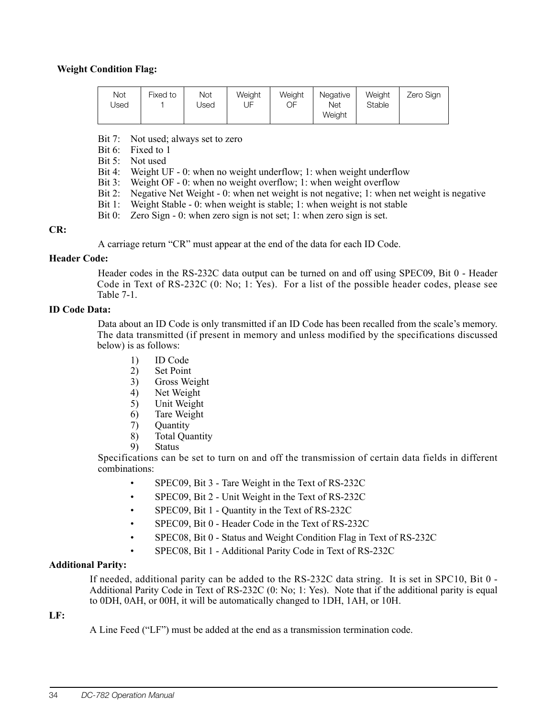#### **Weight Condition Flag:**

| Not<br>Jsed | Fixed to | <b>Not</b><br>Jsed | Weight<br>JF | Weight<br>OF | Negative<br><b>Net</b><br>Weight | Weight<br>Stable | Zero Sign |
|-------------|----------|--------------------|--------------|--------------|----------------------------------|------------------|-----------|
|             |          |                    |              |              |                                  |                  |           |

Bit 7: Not used; always set to zero

Bit 6: Fixed to 1

Bit 5: Not used

- Bit 4: Weight UF 0: when no weight underflow; 1: when weight underflow
- Bit 3: Weight OF 0: when no weight overflow; 1: when weight overflow
- Bit 2: Negative Net Weight 0: when net weight is not negative; 1: when net weight is negative
- Bit 1: Weight Stable 0: when weight is stable; 1: when weight is not stable
- Bit 0: Zero Sign 0: when zero sign is not set; 1: when zero sign is set.

#### **CR:**

A carriage return "CR" must appear at the end of the data for each ID Code.

#### **Header Code:**

Header codes in the RS-232C data output can be turned on and off using SPEC09, Bit 0 - Header Code in Text of RS-232C (0: No; 1: Yes). For a list of the possible header codes, please see [Table](#page-35-2) 7-1.

#### **ID Code Data:**

Data about an ID Code is only transmitted if an ID Code has been recalled from the scale's memory. The data transmitted (if present in memory and unless modified by the specifications discussed below) is as follows:

- 1) ID Code
- 2) Set Point
- 3) Gross Weight
- 4) Net Weight
- 5) Unit Weight
- 6) Tare Weight
- 7) Quantity
- 8) Total Quantity
- 9) Status

Specifications can be set to turn on and off the transmission of certain data fields in different combinations:

- SPEC09, Bit 3 Tare Weight in the Text of RS-232C
- SPEC09, Bit 2 Unit Weight in the Text of RS-232C
- SPEC09, Bit 1 Quantity in the Text of RS-232C
- SPEC09, Bit 0 Header Code in the Text of RS-232C
- SPEC08, Bit 0 Status and Weight Condition Flag in Text of RS-232C
- SPEC08, Bit 1 Additional Parity Code in Text of RS-232C

#### **Additional Parity:**

If needed, additional parity can be added to the RS-232C data string. It is set in SPC10, Bit 0 - Additional Parity Code in Text of RS-232C (0: No; 1: Yes). Note that if the additional parity is equal to 0DH, 0AH, or 00H, it will be automatically changed to 1DH, 1AH, or 10H.

#### **LF:**

A Line Feed ("LF") must be added at the end as a transmission termination code.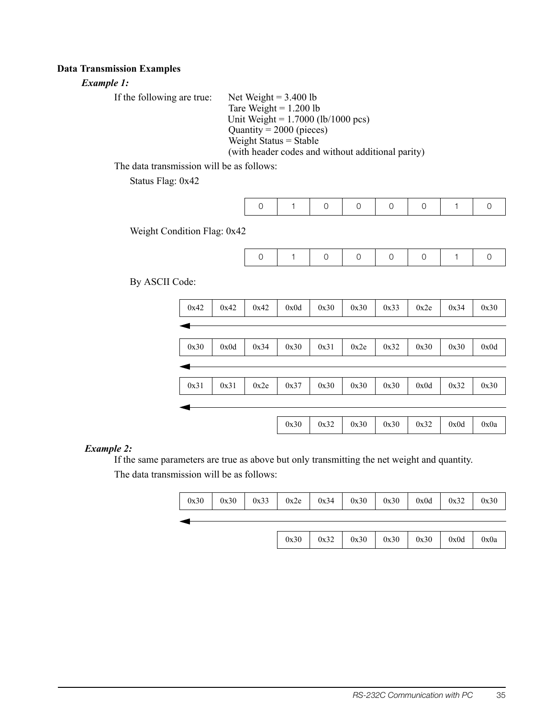#### **Data Transmission Examples**

#### *Example 1:*

| If the following are true: | Net Weight = $3.400$ lb                           |
|----------------------------|---------------------------------------------------|
|                            | Tare Weight = $1.200$ lb                          |
|                            | Unit Weight = $1.7000$ (lb/1000 pcs)              |
|                            | Quantity = $2000$ (pieces)                        |
|                            | Weight Status $=$ Stable                          |
|                            | (with header codes and without additional parity) |

The data transmission will be as follows:

Status Flag: 0x42

| $\overline{1}$ |  |  | $\mathbf{1}$ |  |
|----------------|--|--|--------------|--|
|                |  |  |              |  |

Weight Condition Flag: 0x42

By ASCII Code:



#### *Example 2:*

If the same parameters are true as above but only transmitting the net weight and quantity.

The data transmission will be as follows:

| $0x30$   $0x30$   $0x33$   $0x2e$   $0x34$   $0x30$   $0x30$   $0x0d$   $0x32$   $0x30$ |      |                                                  |  |  |
|-----------------------------------------------------------------------------------------|------|--------------------------------------------------|--|--|
|                                                                                         |      |                                                  |  |  |
|                                                                                         | 0x30 | $0x32$ $0x30$ $0x30$ $0x30$ $0x30$ $0x0d$ $0x0a$ |  |  |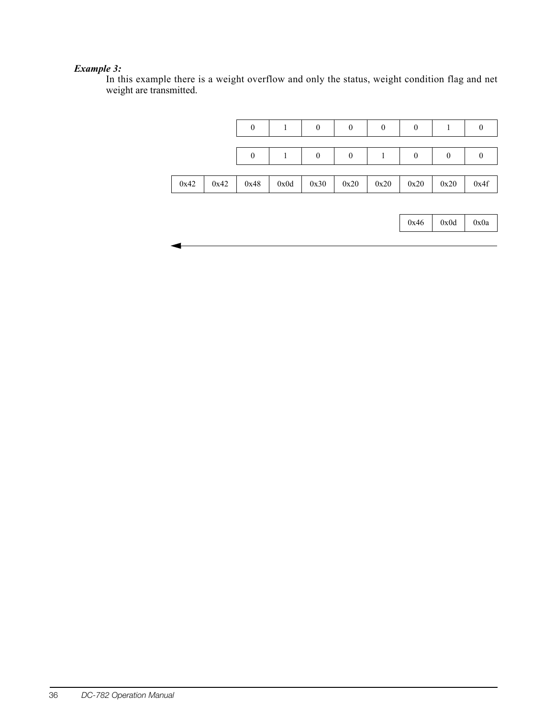#### *Example 3:*

In this example there is a weight overflow and only the status, weight condition flag and net weight are transmitted.

|      |      | $\boldsymbol{0}$ |      | $\boldsymbol{0}$ | $\boldsymbol{0}$ | $\boldsymbol{0}$ | $\boldsymbol{0}$ | 1                | $\boldsymbol{0}$ |
|------|------|------------------|------|------------------|------------------|------------------|------------------|------------------|------------------|
|      |      | $\boldsymbol{0}$ | 1    | $\boldsymbol{0}$ | $\boldsymbol{0}$ | 1                | $\boldsymbol{0}$ | $\boldsymbol{0}$ | $\boldsymbol{0}$ |
| 0x42 | 0x42 | 0x48             | 0x0d | 0x30             | 0x20             | 0x20             | 0x20             | 0x20             | 0x4f             |
|      |      |                  |      |                  |                  |                  |                  |                  |                  |
|      |      |                  |      |                  |                  |                  | 0x46             | 0x0d             | 0x0a             |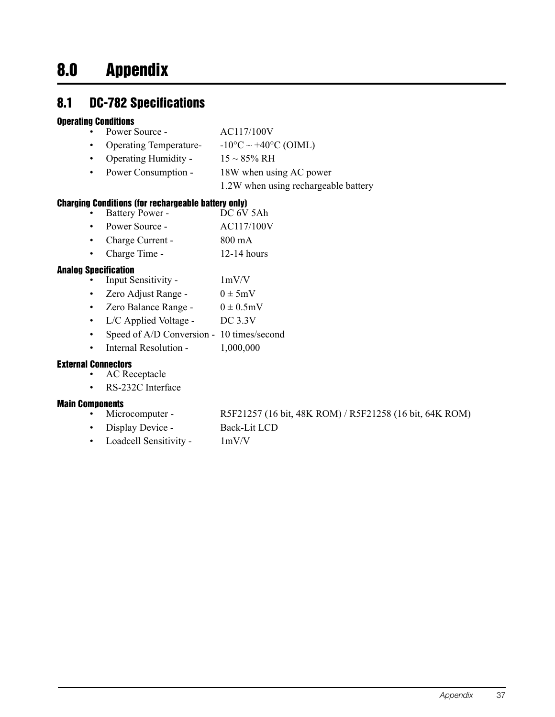# <span id="page-40-0"></span>8.0 Appendix

# <span id="page-40-1"></span>8.1 DC-782 Specifications

#### Operating Conditions

- Power Source AC117/100V
- Operating Temperature-  $-10\degree C \sim +40\degree C$  (OIML)
- Operating Humidity  $15 \sim 85\% \text{ RH}$
- Power Consumption 18W when using AC power
	- 1.2W when using rechargeable battery

#### Charging Conditions (for rechargeable battery only)

- Battery Power DC 6V 5Ah
- Power Source AC117/100V
- Charge Current 800 mA
- Charge Time 12-14 hours

#### Analog Specification

- Input Sensitivity 1mV/V
- Zero Adjust Range  $0 \pm 5$ mV
- Zero Balance Range  $0 \pm 0.5$ mV
- L/C Applied Voltage DC 3.3V
- Speed of A/D Conversion 10 times/second
- Internal Resolution 1,000,000

#### External Connectors

- AC Receptacle
- RS-232C Interface

#### Main Components

- Microcomputer R5F21257 (16 bit, 48K ROM) / R5F21258 (16 bit, 64K ROM)
- Display Device Back-Lit LCD
- Loadcell Sensitivity 1mV/V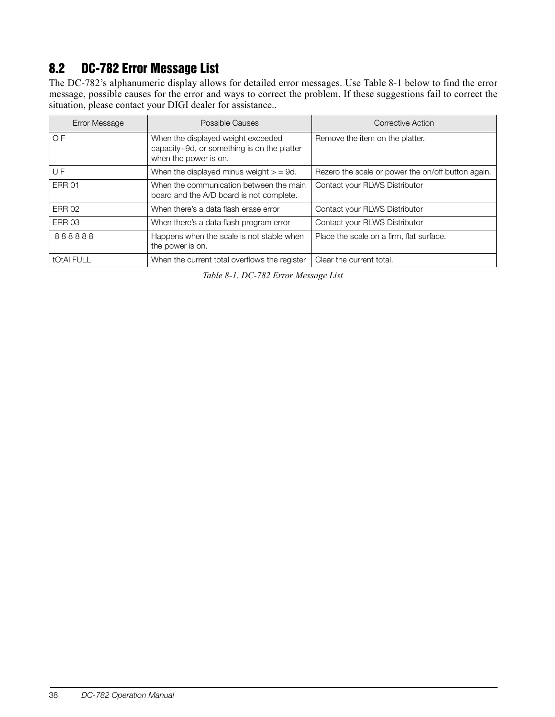# <span id="page-41-0"></span>8.2 DC-782 Error Message List

The DC-782's alphanumeric display allows for detailed error messages. Use [Table](#page-41-1) 8-1 below to find the error message, possible causes for the error and ways to correct the problem. If these suggestions fail to correct the situation, please contact your DIGI dealer for assistance. .

| Error Message  | Possible Causes                                                                                            | Corrective Action                                  |
|----------------|------------------------------------------------------------------------------------------------------------|----------------------------------------------------|
| O <sub>F</sub> | When the displayed weight exceeded<br>capacity+9d, or something is on the platter<br>when the power is on. | Remove the item on the platter.                    |
| UF             | When the displayed minus weight $>$ = 9d.                                                                  | Rezero the scale or power the on/off button again. |
| <b>ERR 01</b>  | When the communication between the main<br>board and the A/D board is not complete.                        | Contact your RLWS Distributor                      |
| <b>ERR 02</b>  | When there's a data flash erase error                                                                      | Contact your RLWS Distributor                      |
| <b>ERR 03</b>  | When there's a data flash program error                                                                    | Contact your RLWS Distributor                      |
| 888888         | Happens when the scale is not stable when<br>the power is on.                                              | Place the scale on a firm, flat surface.           |
| tOtAI FULL     | When the current total overflows the register                                                              | Clear the current total.                           |

<span id="page-41-1"></span>*Table 8-1. DC-782 Error Message List*